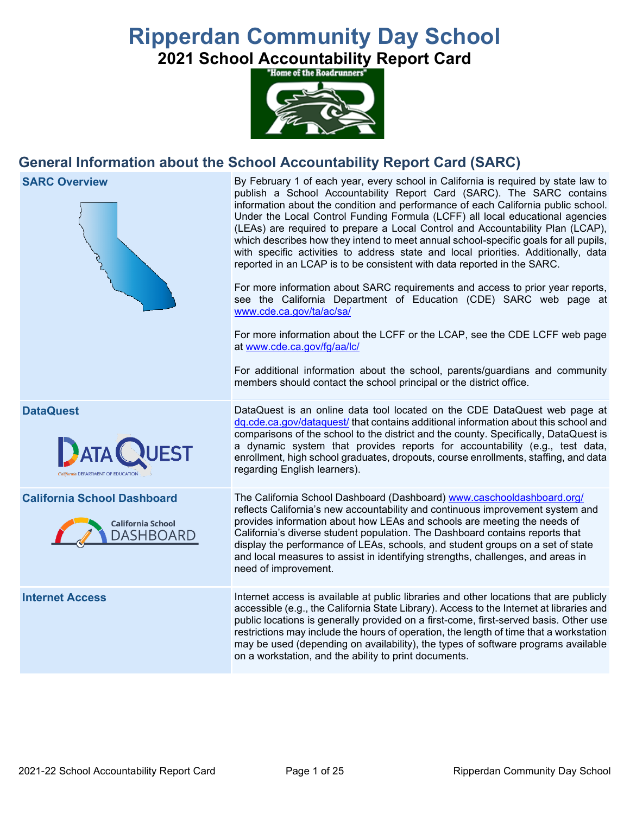# **Ripperdan Community Day School**

**2021 School Accountability Report Card** 



# **General Information about the School Accountability Report Card (SARC)**



on a workstation, and the ability to print documents.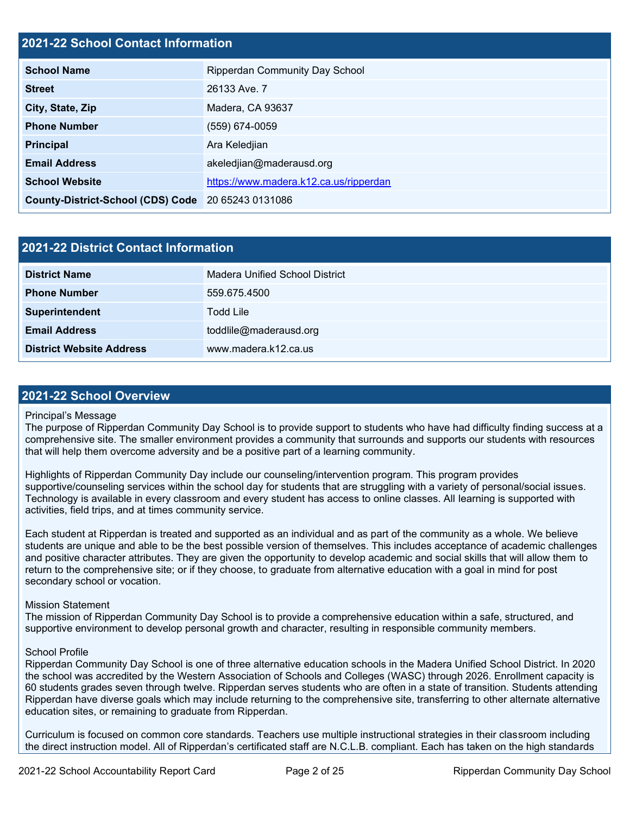#### **2021-22 School Contact Information**

| <b>School Name</b>                                 | <b>Ripperdan Community Day School</b>  |  |  |  |
|----------------------------------------------------|----------------------------------------|--|--|--|
| <b>Street</b>                                      | 26133 Ave. 7                           |  |  |  |
| City, State, Zip                                   | Madera, CA 93637                       |  |  |  |
| <b>Phone Number</b>                                | (559) 674-0059                         |  |  |  |
| <b>Principal</b>                                   | Ara Keledjian                          |  |  |  |
| <b>Email Address</b>                               | akeledjian@maderausd.org               |  |  |  |
| <b>School Website</b>                              | https://www.madera.k12.ca.us/ripperdan |  |  |  |
| County-District-School (CDS) Code 20 65243 0131086 |                                        |  |  |  |

| 2021-22 District Contact Information |                                |  |
|--------------------------------------|--------------------------------|--|
| <b>District Name</b>                 | Madera Unified School District |  |
| <b>Phone Number</b>                  | 559.675.4500                   |  |
| Superintendent                       | Todd Lile                      |  |
| <b>Email Address</b>                 | toddlile@maderausd.org         |  |
| <b>District Website Address</b>      | www.madera.k12.ca.us           |  |

#### **2021-22 School Overview**

#### Principal's Message

The purpose of Ripperdan Community Day School is to provide support to students who have had difficulty finding success at a comprehensive site. The smaller environment provides a community that surrounds and supports our students with resources that will help them overcome adversity and be a positive part of a learning community.

Highlights of Ripperdan Community Day include our counseling/intervention program. This program provides supportive/counseling services within the school day for students that are struggling with a variety of personal/social issues. Technology is available in every classroom and every student has access to online classes. All learning is supported with activities, field trips, and at times community service.

Each student at Ripperdan is treated and supported as an individual and as part of the community as a whole. We believe students are unique and able to be the best possible version of themselves. This includes acceptance of academic challenges and positive character attributes. They are given the opportunity to develop academic and social skills that will allow them to return to the comprehensive site; or if they choose, to graduate from alternative education with a goal in mind for post secondary school or vocation.

#### Mission Statement

The mission of Ripperdan Community Day School is to provide a comprehensive education within a safe, structured, and supportive environment to develop personal growth and character, resulting in responsible community members.

#### School Profile

Ripperdan Community Day School is one of three alternative education schools in the Madera Unified School District. In 2020 the school was accredited by the Western Association of Schools and Colleges (WASC) through 2026. Enrollment capacity is 60 students grades seven through twelve. Ripperdan serves students who are often in a state of transition. Students attending Ripperdan have diverse goals which may include returning to the comprehensive site, transferring to other alternate alternative education sites, or remaining to graduate from Ripperdan.

Curriculum is focused on common core standards. Teachers use multiple instructional strategies in their classroom including the direct instruction model. All of Ripperdan's certificated staff are N.C.L.B. compliant. Each has taken on the high standards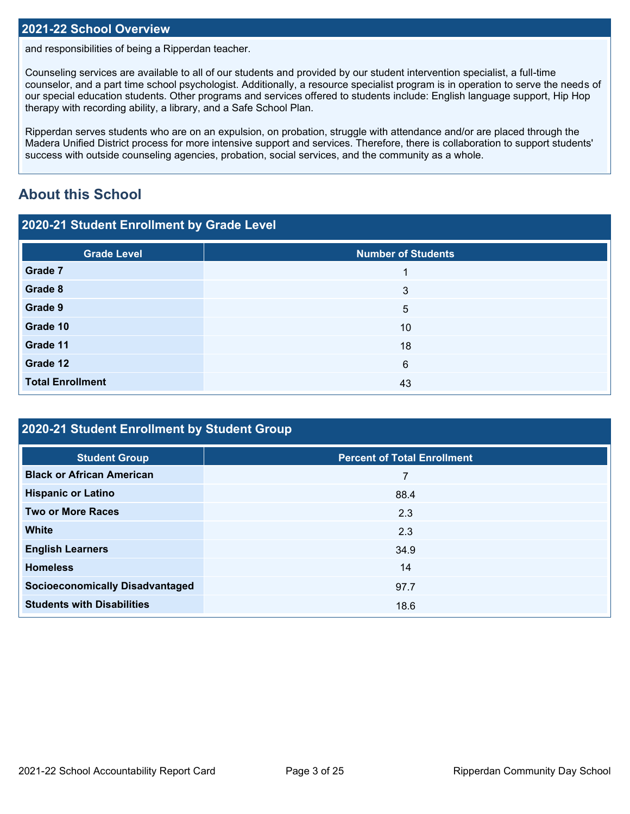#### **2021-22 School Overview**

and responsibilities of being a Ripperdan teacher.

Counseling services are available to all of our students and provided by our student intervention specialist, a full-time counselor, and a part time school psychologist. Additionally, a resource specialist program is in operation to serve the needs of our special education students. Other programs and services offered to students include: English language support, Hip Hop therapy with recording ability, a library, and a Safe School Plan.

Ripperdan serves students who are on an expulsion, on probation, struggle with attendance and/or are placed through the Madera Unified District process for more intensive support and services. Therefore, there is collaboration to support students' success with outside counseling agencies, probation, social services, and the community as a whole.

# **About this School**

| 2020-21 Student Enrollment by Grade Level |                           |  |  |  |
|-------------------------------------------|---------------------------|--|--|--|
| <b>Grade Level</b>                        | <b>Number of Students</b> |  |  |  |
| Grade 7                                   |                           |  |  |  |
| Grade 8                                   | 3                         |  |  |  |
| Grade 9                                   | 5                         |  |  |  |
| Grade 10                                  | 10                        |  |  |  |
| Grade 11                                  | 18                        |  |  |  |
| Grade 12                                  | 6                         |  |  |  |
| <b>Total Enrollment</b>                   | 43                        |  |  |  |

| 2020-21 Student Enrollment by Student Group |                                    |  |  |  |
|---------------------------------------------|------------------------------------|--|--|--|
| <b>Student Group</b>                        | <b>Percent of Total Enrollment</b> |  |  |  |
| <b>Black or African American</b>            |                                    |  |  |  |
| <b>Hispanic or Latino</b>                   | 88.4                               |  |  |  |
| <b>Two or More Races</b>                    | 2.3                                |  |  |  |
| <b>White</b>                                | 2.3                                |  |  |  |
| <b>English Learners</b>                     | 34.9                               |  |  |  |
| <b>Homeless</b>                             | 14                                 |  |  |  |
| <b>Socioeconomically Disadvantaged</b>      | 97.7                               |  |  |  |
| <b>Students with Disabilities</b>           | 18.6                               |  |  |  |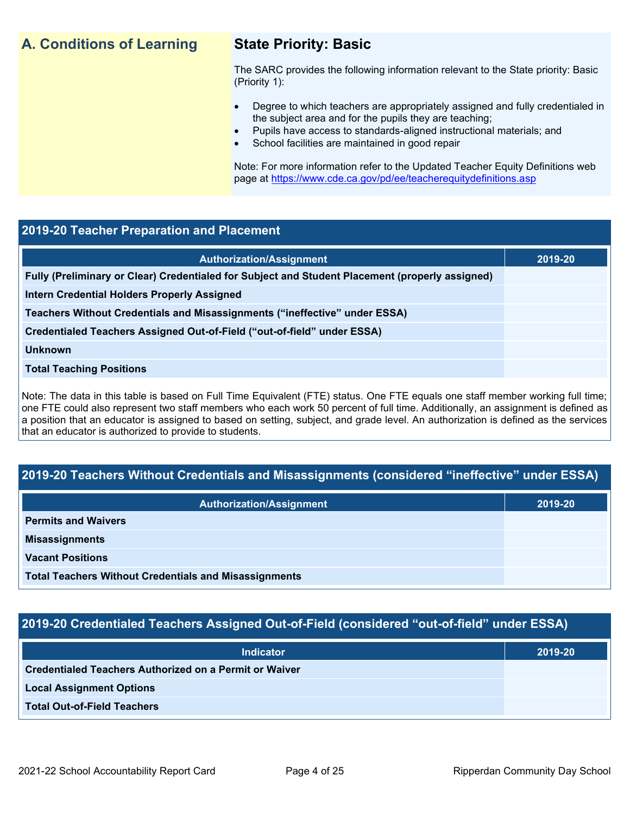# **A. Conditions of Learning State Priority: Basic**

The SARC provides the following information relevant to the State priority: Basic (Priority 1):

- Degree to which teachers are appropriately assigned and fully credentialed in the subject area and for the pupils they are teaching;
	- Pupils have access to standards-aligned instructional materials; and
- School facilities are maintained in good repair

Note: For more information refer to the Updated Teacher Equity Definitions web page at<https://www.cde.ca.gov/pd/ee/teacherequitydefinitions.asp>

#### **2019-20 Teacher Preparation and Placement**

| <b>Authorization/Assignment</b>                                                                 | 2019-20 |
|-------------------------------------------------------------------------------------------------|---------|
| Fully (Preliminary or Clear) Credentialed for Subject and Student Placement (properly assigned) |         |
| <b>Intern Credential Holders Properly Assigned</b>                                              |         |
| Teachers Without Credentials and Misassignments ("ineffective" under ESSA)                      |         |
| Credentialed Teachers Assigned Out-of-Field ("out-of-field" under ESSA)                         |         |
| <b>Unknown</b>                                                                                  |         |
| <b>Total Teaching Positions</b>                                                                 |         |
|                                                                                                 |         |

Note: The data in this table is based on Full Time Equivalent (FTE) status. One FTE equals one staff member working full time; one FTE could also represent two staff members who each work 50 percent of full time. Additionally, an assignment is defined as a position that an educator is assigned to based on setting, subject, and grade level. An authorization is defined as the services that an educator is authorized to provide to students.

# **2019-20 Teachers Without Credentials and Misassignments (considered "ineffective" under ESSA)**

| <b>Authorization/Assignment</b>                              | 2019-20 |  |
|--------------------------------------------------------------|---------|--|
| <b>Permits and Waivers</b>                                   |         |  |
| <b>Misassignments</b>                                        |         |  |
| <b>Vacant Positions</b>                                      |         |  |
| <b>Total Teachers Without Credentials and Misassignments</b> |         |  |

# **2019-20 Credentialed Teachers Assigned Out-of-Field (considered "out-of-field" under ESSA)**

| <b>Indicator</b>                                       | 2019-20 |
|--------------------------------------------------------|---------|
| Credentialed Teachers Authorized on a Permit or Waiver |         |
| <b>Local Assignment Options</b>                        |         |
| <b>Total Out-of-Field Teachers</b>                     |         |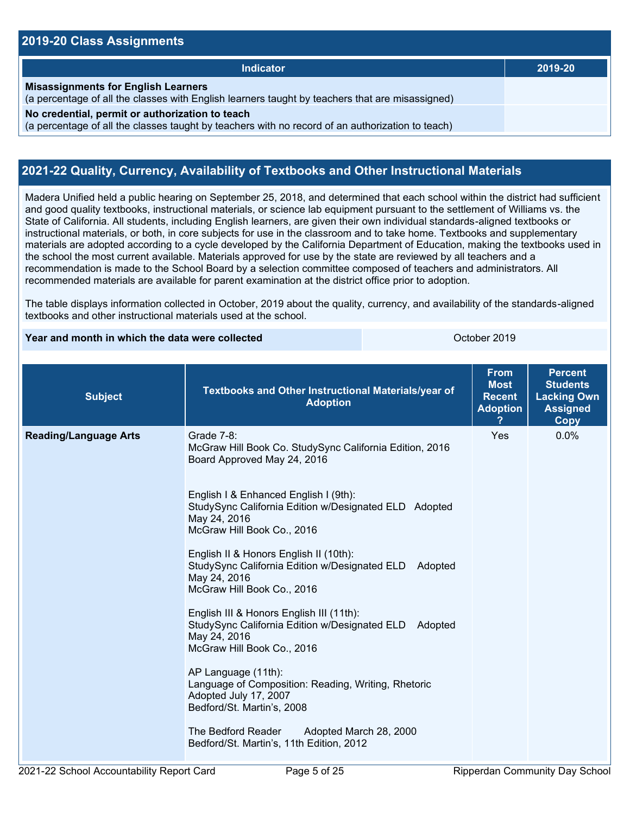#### **2019-20 Class Assignments**

| <b>Indicator</b>                                                                                                                                    | 2019-20 |
|-----------------------------------------------------------------------------------------------------------------------------------------------------|---------|
| <b>Misassignments for English Learners</b><br>(a percentage of all the classes with English learners taught by teachers that are misassigned)       |         |
| No credential, permit or authorization to teach<br>(a percentage of all the classes taught by teachers with no record of an authorization to teach) |         |

#### **2021-22 Quality, Currency, Availability of Textbooks and Other Instructional Materials**

Madera Unified held a public hearing on September 25, 2018, and determined that each school within the district had sufficient and good quality textbooks, instructional materials, or science lab equipment pursuant to the settlement of Williams vs. the State of California. All students, including English learners, are given their own individual standards-aligned textbooks or instructional materials, or both, in core subjects for use in the classroom and to take home. Textbooks and supplementary materials are adopted according to a cycle developed by the California Department of Education, making the textbooks used in the school the most current available. Materials approved for use by the state are reviewed by all teachers and a recommendation is made to the School Board by a selection committee composed of teachers and administrators. All recommended materials are available for parent examination at the district office prior to adoption.

The table displays information collected in October, 2019 about the quality, currency, and availability of the standards-aligned textbooks and other instructional materials used at the school.

**Year and month in which the data were collected Collection Controllection Controllect Property** October 2019

| <b>Subject</b>               | Textbooks and Other Instructional Materials/year of<br><b>Adoption</b>                                                                          | <b>From</b><br><b>Most</b><br><b>Recent</b><br><b>Adoption</b> | <b>Percent</b><br><b>Students</b><br><b>Lacking Own</b><br><b>Assigned</b><br><b>Copy</b> |
|------------------------------|-------------------------------------------------------------------------------------------------------------------------------------------------|----------------------------------------------------------------|-------------------------------------------------------------------------------------------|
| <b>Reading/Language Arts</b> | Grade 7-8:<br>McGraw Hill Book Co. StudySync California Edition, 2016<br>Board Approved May 24, 2016                                            | Yes                                                            | 0.0%                                                                                      |
|                              | English I & Enhanced English I (9th):<br>StudySync California Edition w/Designated ELD Adopted<br>May 24, 2016<br>McGraw Hill Book Co., 2016    |                                                                |                                                                                           |
|                              | English II & Honors English II (10th):<br>StudySync California Edition w/Designated ELD Adopted<br>May 24, 2016<br>McGraw Hill Book Co., 2016   |                                                                |                                                                                           |
|                              | English III & Honors English III (11th):<br>StudySync California Edition w/Designated ELD Adopted<br>May 24, 2016<br>McGraw Hill Book Co., 2016 |                                                                |                                                                                           |
|                              | AP Language (11th):<br>Language of Composition: Reading, Writing, Rhetoric<br>Adopted July 17, 2007<br>Bedford/St. Martin's, 2008               |                                                                |                                                                                           |
|                              | The Bedford Reader<br>Adopted March 28, 2000<br>Bedford/St. Martin's, 11th Edition, 2012                                                        |                                                                |                                                                                           |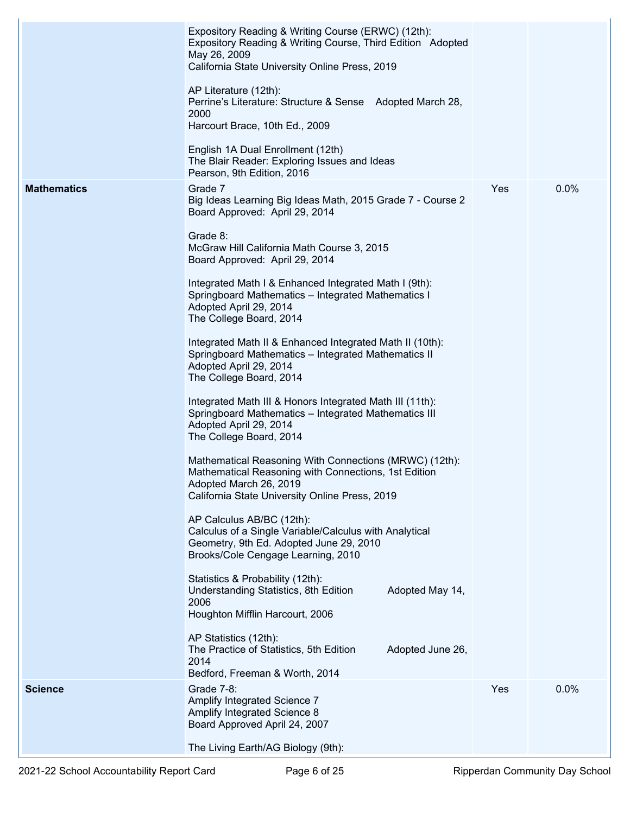|                    | Expository Reading & Writing Course (ERWC) (12th):<br>Expository Reading & Writing Course, Third Edition Adopted<br>May 26, 2009<br>California State University Online Press, 2019         |     |      |
|--------------------|--------------------------------------------------------------------------------------------------------------------------------------------------------------------------------------------|-----|------|
|                    | AP Literature (12th):<br>Perrine's Literature: Structure & Sense Adopted March 28,<br>2000<br>Harcourt Brace, 10th Ed., 2009                                                               |     |      |
|                    |                                                                                                                                                                                            |     |      |
|                    | English 1A Dual Enrollment (12th)<br>The Blair Reader: Exploring Issues and Ideas<br>Pearson, 9th Edition, 2016                                                                            |     |      |
| <b>Mathematics</b> | Grade 7<br>Big Ideas Learning Big Ideas Math, 2015 Grade 7 - Course 2<br>Board Approved: April 29, 2014                                                                                    | Yes | 0.0% |
|                    | Grade 8:<br>McGraw Hill California Math Course 3, 2015<br>Board Approved: April 29, 2014                                                                                                   |     |      |
|                    | Integrated Math I & Enhanced Integrated Math I (9th):<br>Springboard Mathematics - Integrated Mathematics I<br>Adopted April 29, 2014<br>The College Board, 2014                           |     |      |
|                    | Integrated Math II & Enhanced Integrated Math II (10th):<br>Springboard Mathematics - Integrated Mathematics II<br>Adopted April 29, 2014<br>The College Board, 2014                       |     |      |
|                    | Integrated Math III & Honors Integrated Math III (11th):<br>Springboard Mathematics - Integrated Mathematics III<br>Adopted April 29, 2014<br>The College Board, 2014                      |     |      |
|                    | Mathematical Reasoning With Connections (MRWC) (12th):<br>Mathematical Reasoning with Connections, 1st Edition<br>Adopted March 26, 2019<br>California State University Online Press, 2019 |     |      |
|                    | AP Calculus AB/BC (12th):<br>Calculus of a Single Variable/Calculus with Analytical<br>Geometry, 9th Ed. Adopted June 29, 2010<br>Brooks/Cole Cengage Learning, 2010                       |     |      |
|                    | Statistics & Probability (12th):<br>Understanding Statistics, 8th Edition<br>Adopted May 14,<br>2006<br>Houghton Mifflin Harcourt, 2006                                                    |     |      |
|                    | AP Statistics (12th):<br>The Practice of Statistics, 5th Edition<br>Adopted June 26,<br>2014<br>Bedford, Freeman & Worth, 2014                                                             |     |      |
| <b>Science</b>     | Grade 7-8:<br>Amplify Integrated Science 7<br>Amplify Integrated Science 8<br>Board Approved April 24, 2007                                                                                | Yes | 0.0% |
|                    | The Living Earth/AG Biology (9th):                                                                                                                                                         |     |      |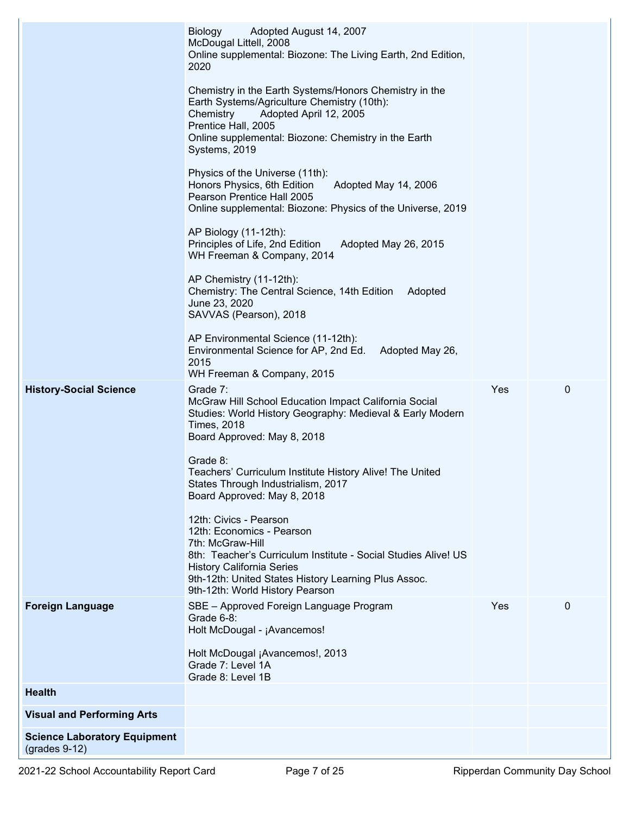|                                                        | <b>Biology</b><br>Adopted August 14, 2007<br>McDougal Littell, 2008<br>Online supplemental: Biozone: The Living Earth, 2nd Edition,<br>2020                                                                                                                              |     |              |
|--------------------------------------------------------|--------------------------------------------------------------------------------------------------------------------------------------------------------------------------------------------------------------------------------------------------------------------------|-----|--------------|
|                                                        | Chemistry in the Earth Systems/Honors Chemistry in the<br>Earth Systems/Agriculture Chemistry (10th):<br>Adopted April 12, 2005<br>Chemistry<br>Prentice Hall, 2005<br>Online supplemental: Biozone: Chemistry in the Earth<br>Systems, 2019                             |     |              |
|                                                        | Physics of the Universe (11th):<br>Honors Physics, 6th Edition<br>Adopted May 14, 2006<br>Pearson Prentice Hall 2005<br>Online supplemental: Biozone: Physics of the Universe, 2019                                                                                      |     |              |
|                                                        | AP Biology (11-12th):<br>Principles of Life, 2nd Edition<br>Adopted May 26, 2015<br>WH Freeman & Company, 2014                                                                                                                                                           |     |              |
|                                                        | AP Chemistry (11-12th):<br>Chemistry: The Central Science, 14th Edition<br>Adopted<br>June 23, 2020<br>SAVVAS (Pearson), 2018                                                                                                                                            |     |              |
|                                                        | AP Environmental Science (11-12th):<br>Environmental Science for AP, 2nd Ed.<br>Adopted May 26,<br>2015<br>WH Freeman & Company, 2015                                                                                                                                    |     |              |
| <b>History-Social Science</b>                          | Grade 7:<br>McGraw Hill School Education Impact California Social<br>Studies: World History Geography: Medieval & Early Modern<br><b>Times, 2018</b><br>Board Approved: May 8, 2018                                                                                      | Yes | $\mathbf 0$  |
|                                                        | Grade 8:<br>Teachers' Curriculum Institute History Alive! The United<br>States Through Industrialism, 2017<br>Board Approved: May 8, 2018                                                                                                                                |     |              |
|                                                        | 12th: Civics - Pearson<br>12th: Economics - Pearson<br>7th: McGraw-Hill<br>8th: Teacher's Curriculum Institute - Social Studies Alive! US<br><b>History California Series</b><br>9th-12th: United States History Learning Plus Assoc.<br>9th-12th: World History Pearson |     |              |
| <b>Foreign Language</b>                                | SBE - Approved Foreign Language Program<br>Grade $6-8$ :<br>Holt McDougal - ¡Avancemos!                                                                                                                                                                                  | Yes | $\mathbf{0}$ |
|                                                        | Holt McDougal ¡Avancemos!, 2013<br>Grade 7: Level 1A<br>Grade 8: Level 1B                                                                                                                                                                                                |     |              |
| <b>Health</b>                                          |                                                                                                                                                                                                                                                                          |     |              |
| <b>Visual and Performing Arts</b>                      |                                                                                                                                                                                                                                                                          |     |              |
| <b>Science Laboratory Equipment</b><br>$(grades 9-12)$ |                                                                                                                                                                                                                                                                          |     |              |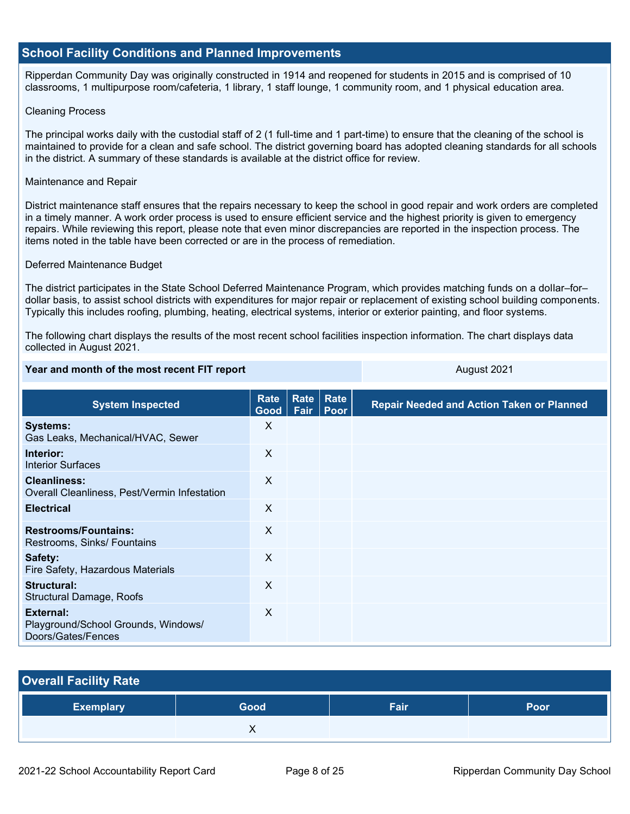#### **School Facility Conditions and Planned Improvements**

Ripperdan Community Day was originally constructed in 1914 and reopened for students in 2015 and is comprised of 10 classrooms, 1 multipurpose room/cafeteria, 1 library, 1 staff lounge, 1 community room, and 1 physical education area.

#### Cleaning Process

The principal works daily with the custodial staff of 2 (1 full-time and 1 part-time) to ensure that the cleaning of the school is maintained to provide for a clean and safe school. The district governing board has adopted cleaning standards for all schools in the district. A summary of these standards is available at the district office for review.

#### Maintenance and Repair

District maintenance staff ensures that the repairs necessary to keep the school in good repair and work orders are completed in a timely manner. A work order process is used to ensure efficient service and the highest priority is given to emergency repairs. While reviewing this report, please note that even minor discrepancies are reported in the inspection process. The items noted in the table have been corrected or are in the process of remediation.

#### Deferred Maintenance Budget

The district participates in the State School Deferred Maintenance Program, which provides matching funds on a dollar–for– dollar basis, to assist school districts with expenditures for major repair or replacement of existing school building components. Typically this includes roofing, plumbing, heating, electrical systems, interior or exterior painting, and floor systems.

The following chart displays the results of the most recent school facilities inspection information. The chart displays data collected in August 2021.

**Year and month of the most recent FIT report** August 2021

| <b>System Inspected</b>                                                | <b>Rate</b><br>Good | Fair | <b>Rate Rate</b><br><b>Poor</b> | <b>Repair Needed and Action Taken or Planned</b> |
|------------------------------------------------------------------------|---------------------|------|---------------------------------|--------------------------------------------------|
| <b>Systems:</b><br>Gas Leaks, Mechanical/HVAC, Sewer                   | X                   |      |                                 |                                                  |
| Interior:<br><b>Interior Surfaces</b>                                  | $\sf X$             |      |                                 |                                                  |
| <b>Cleanliness:</b><br>Overall Cleanliness, Pest/Vermin Infestation    | X                   |      |                                 |                                                  |
| <b>Electrical</b>                                                      | X                   |      |                                 |                                                  |
| <b>Restrooms/Fountains:</b><br>Restrooms, Sinks/ Fountains             | X                   |      |                                 |                                                  |
| Safety:<br>Fire Safety, Hazardous Materials                            | X                   |      |                                 |                                                  |
| Structural:<br><b>Structural Damage, Roofs</b>                         | X                   |      |                                 |                                                  |
| External:<br>Playground/School Grounds, Windows/<br>Doors/Gates/Fences | X                   |      |                                 |                                                  |

| <b>Overall Facility Rate</b> |      |      |      |  |  |  |
|------------------------------|------|------|------|--|--|--|
| <b>Exemplary</b>             | Good | Fair | Poor |  |  |  |
|                              |      |      |      |  |  |  |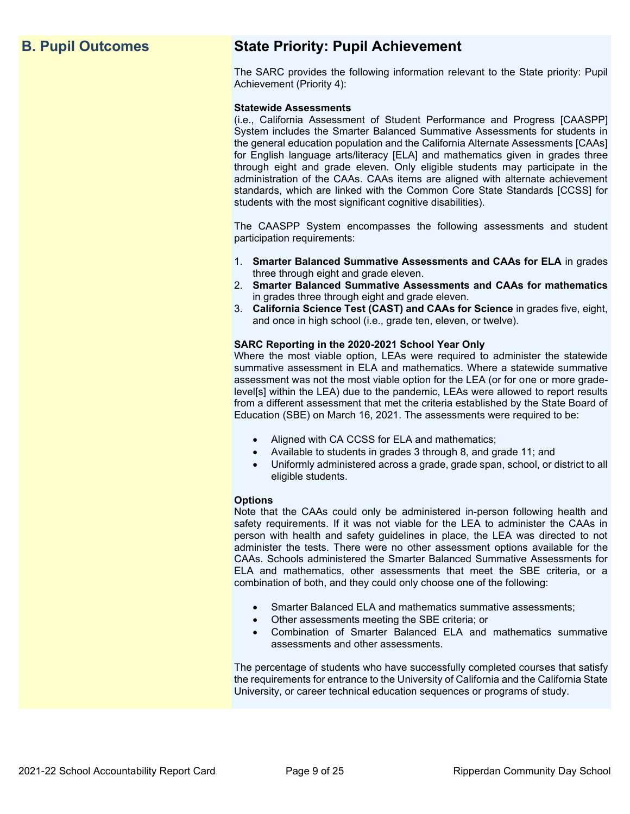# **B. Pupil Outcomes State Priority: Pupil Achievement**

The SARC provides the following information relevant to the State priority: Pupil Achievement (Priority 4):

#### **Statewide Assessments**

(i.e., California Assessment of Student Performance and Progress [CAASPP] System includes the Smarter Balanced Summative Assessments for students in the general education population and the California Alternate Assessments [CAAs] for English language arts/literacy [ELA] and mathematics given in grades three through eight and grade eleven. Only eligible students may participate in the administration of the CAAs. CAAs items are aligned with alternate achievement standards, which are linked with the Common Core State Standards [CCSS] for students with the most significant cognitive disabilities).

The CAASPP System encompasses the following assessments and student participation requirements:

- 1. **Smarter Balanced Summative Assessments and CAAs for ELA** in grades three through eight and grade eleven.
- 2. **Smarter Balanced Summative Assessments and CAAs for mathematics** in grades three through eight and grade eleven.
- 3. **California Science Test (CAST) and CAAs for Science** in grades five, eight, and once in high school (i.e., grade ten, eleven, or twelve).

#### **SARC Reporting in the 2020-2021 School Year Only**

Where the most viable option, LEAs were required to administer the statewide summative assessment in ELA and mathematics. Where a statewide summative assessment was not the most viable option for the LEA (or for one or more gradelevel[s] within the LEA) due to the pandemic, LEAs were allowed to report results from a different assessment that met the criteria established by the State Board of Education (SBE) on March 16, 2021. The assessments were required to be:

- Aligned with CA CCSS for ELA and mathematics;
- Available to students in grades 3 through 8, and grade 11; and
- Uniformly administered across a grade, grade span, school, or district to all eligible students.

#### **Options**

Note that the CAAs could only be administered in-person following health and safety requirements. If it was not viable for the LEA to administer the CAAs in person with health and safety guidelines in place, the LEA was directed to not administer the tests. There were no other assessment options available for the CAAs. Schools administered the Smarter Balanced Summative Assessments for ELA and mathematics, other assessments that meet the SBE criteria, or a combination of both, and they could only choose one of the following:

- Smarter Balanced ELA and mathematics summative assessments;
- Other assessments meeting the SBE criteria; or
- Combination of Smarter Balanced ELA and mathematics summative assessments and other assessments.

The percentage of students who have successfully completed courses that satisfy the requirements for entrance to the University of California and the California State University, or career technical education sequences or programs of study.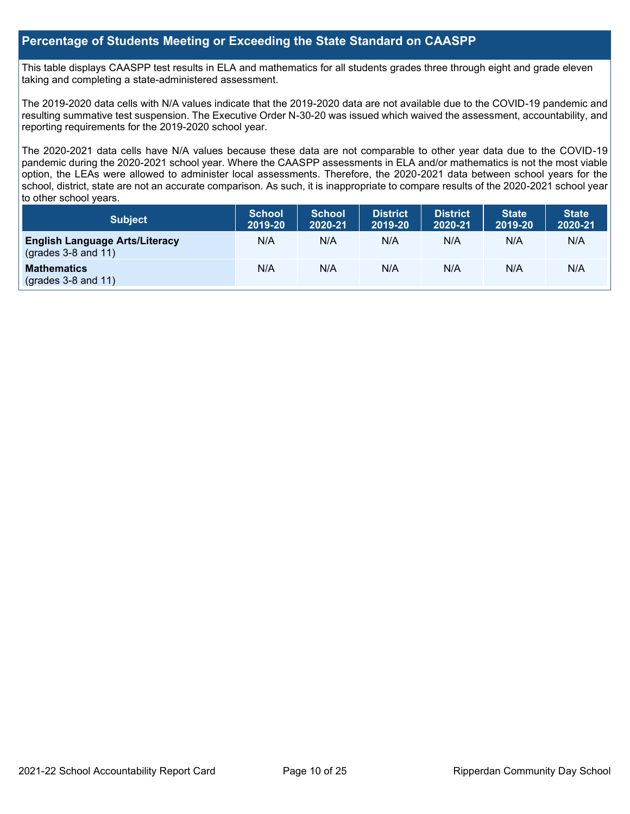#### **Percentage of Students Meeting or Exceeding the State Standard on CAASPP**

This table displays CAASPP test results in ELA and mathematics for all students grades three through eight and grade eleven taking and completing a state-administered assessment.

The 2019-2020 data cells with N/A values indicate that the 2019-2020 data are not available due to the COVID-19 pandemic and resulting summative test suspension. The Executive Order N-30-20 was issued which waived the assessment, accountability, and reporting requirements for the 2019-2020 school year.

The 2020-2021 data cells have N/A values because these data are not comparable to other year data due to the COVID-19 pandemic during the 2020-2021 school year. Where the CAASPP assessments in ELA and/or mathematics is not the most viable option, the LEAs were allowed to administer local assessments. Therefore, the 2020-2021 data between school years for the school, district, state are not an accurate comparison. As such, it is inappropriate to compare results of the 2020-2021 school year to other school years.

| Subject                                                              | <b>School</b><br>2019-20 | <b>School</b><br>2020-21 | <b>District</b><br>2019-20 | <b>District</b><br>2020-21 | <b>State</b><br>2019-20 | <b>State</b><br>2020-21 |
|----------------------------------------------------------------------|--------------------------|--------------------------|----------------------------|----------------------------|-------------------------|-------------------------|
| <b>English Language Arts/Literacy</b><br>$\left($ grades 3-8 and 11) | N/A                      | N/A                      | N/A                        | N/A                        | N/A                     | N/A                     |
| <b>Mathematics</b><br>$(grades 3-8 and 11)$                          | N/A                      | N/A                      | N/A                        | N/A                        | N/A                     | N/A                     |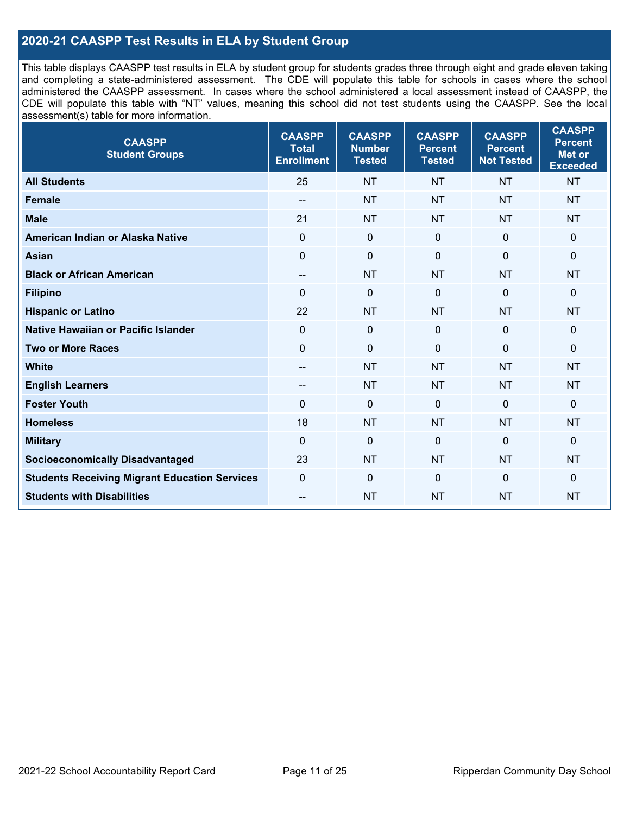### **2020-21 CAASPP Test Results in ELA by Student Group**

This table displays CAASPP test results in ELA by student group for students grades three through eight and grade eleven taking and completing a state-administered assessment. The CDE will populate this table for schools in cases where the school administered the CAASPP assessment. In cases where the school administered a local assessment instead of CAASPP, the CDE will populate this table with "NT" values, meaning this school did not test students using the CAASPP. See the local assessment(s) table for more information.

| <b>CAASPP</b><br><b>Student Groups</b>               | <b>CAASPP</b><br><b>Total</b><br><b>Enrollment</b> | <b>CAASPP</b><br><b>Number</b><br><b>Tested</b> | <b>CAASPP</b><br><b>Percent</b><br><b>Tested</b> | <b>CAASPP</b><br><b>Percent</b><br><b>Not Tested</b> | <b>CAASPP</b><br><b>Percent</b><br><b>Met or</b><br><b>Exceeded</b> |
|------------------------------------------------------|----------------------------------------------------|-------------------------------------------------|--------------------------------------------------|------------------------------------------------------|---------------------------------------------------------------------|
| <b>All Students</b>                                  | 25                                                 | <b>NT</b>                                       | <b>NT</b>                                        | <b>NT</b>                                            | <b>NT</b>                                                           |
| <b>Female</b>                                        | $-$                                                | <b>NT</b>                                       | <b>NT</b>                                        | <b>NT</b>                                            | <b>NT</b>                                                           |
| <b>Male</b>                                          | 21                                                 | <b>NT</b>                                       | <b>NT</b>                                        | <b>NT</b>                                            | <b>NT</b>                                                           |
| American Indian or Alaska Native                     | $\mathbf 0$                                        | $\pmb{0}$                                       | $\mathbf 0$                                      | $\mathbf 0$                                          | $\mathbf 0$                                                         |
| <b>Asian</b>                                         | $\mathbf 0$                                        | $\pmb{0}$                                       | $\Omega$                                         | $\mathbf 0$                                          | 0                                                                   |
| <b>Black or African American</b>                     | $\overline{\phantom{a}}$                           | <b>NT</b>                                       | <b>NT</b>                                        | <b>NT</b>                                            | <b>NT</b>                                                           |
| <b>Filipino</b>                                      | $\Omega$                                           | $\mathbf 0$                                     | $\Omega$                                         | $\mathbf 0$                                          | 0                                                                   |
| <b>Hispanic or Latino</b>                            | 22                                                 | <b>NT</b>                                       | <b>NT</b>                                        | <b>NT</b>                                            | <b>NT</b>                                                           |
| <b>Native Hawaiian or Pacific Islander</b>           | $\mathbf 0$                                        | $\mathbf 0$                                     | $\mathbf 0$                                      | $\overline{0}$                                       | 0                                                                   |
| <b>Two or More Races</b>                             | $\mathbf 0$                                        | $\mathbf 0$                                     | 0                                                | $\mathbf 0$                                          | 0                                                                   |
| <b>White</b>                                         | $\overline{\phantom{a}}$                           | <b>NT</b>                                       | <b>NT</b>                                        | <b>NT</b>                                            | <b>NT</b>                                                           |
| <b>English Learners</b>                              | --                                                 | <b>NT</b>                                       | <b>NT</b>                                        | <b>NT</b>                                            | <b>NT</b>                                                           |
| <b>Foster Youth</b>                                  | $\Omega$                                           | $\mathbf 0$                                     | $\Omega$                                         | $\mathbf{0}$                                         | 0                                                                   |
| <b>Homeless</b>                                      | 18                                                 | <b>NT</b>                                       | <b>NT</b>                                        | <b>NT</b>                                            | <b>NT</b>                                                           |
| <b>Military</b>                                      | $\mathbf 0$                                        | $\pmb{0}$                                       | $\Omega$                                         | $\mathbf 0$                                          | 0                                                                   |
| <b>Socioeconomically Disadvantaged</b>               | 23                                                 | <b>NT</b>                                       | <b>NT</b>                                        | <b>NT</b>                                            | <b>NT</b>                                                           |
| <b>Students Receiving Migrant Education Services</b> | $\mathbf 0$                                        | $\mathbf 0$                                     | $\Omega$                                         | $\mathbf 0$                                          | 0                                                                   |
| <b>Students with Disabilities</b>                    | --                                                 | <b>NT</b>                                       | <b>NT</b>                                        | <b>NT</b>                                            | <b>NT</b>                                                           |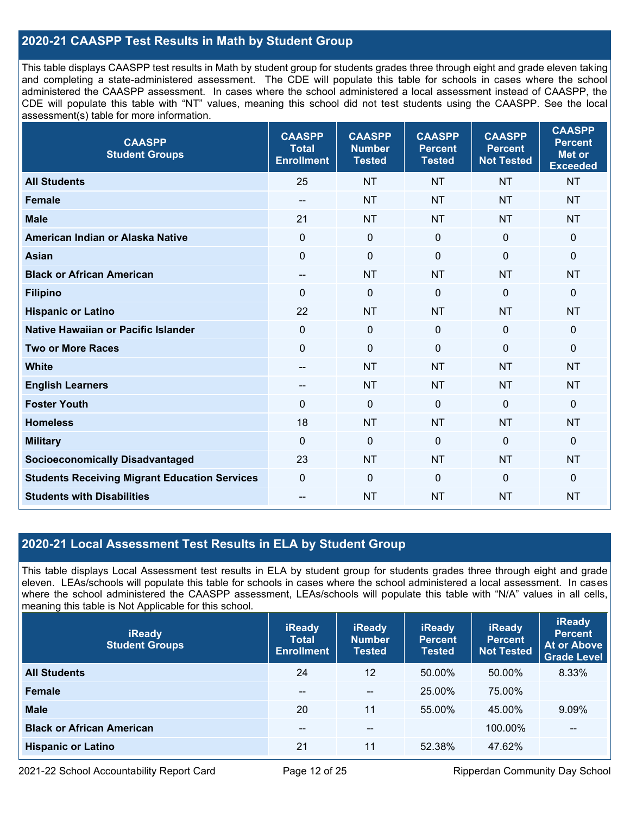### **2020-21 CAASPP Test Results in Math by Student Group**

This table displays CAASPP test results in Math by student group for students grades three through eight and grade eleven taking and completing a state-administered assessment. The CDE will populate this table for schools in cases where the school administered the CAASPP assessment. In cases where the school administered a local assessment instead of CAASPP, the CDE will populate this table with "NT" values, meaning this school did not test students using the CAASPP. See the local assessment(s) table for more information.

| <b>CAASPP</b><br><b>Student Groups</b>               | <b>CAASPP</b><br><b>Total</b><br><b>Enrollment</b> | <b>CAASPP</b><br><b>Number</b><br><b>Tested</b> | <b>CAASPP</b><br><b>Percent</b><br><b>Tested</b> | <b>CAASPP</b><br><b>Percent</b><br><b>Not Tested</b> | <b>CAASPP</b><br><b>Percent</b><br><b>Met or</b><br><b>Exceeded</b> |
|------------------------------------------------------|----------------------------------------------------|-------------------------------------------------|--------------------------------------------------|------------------------------------------------------|---------------------------------------------------------------------|
| <b>All Students</b>                                  | 25                                                 | <b>NT</b>                                       | <b>NT</b>                                        | <b>NT</b>                                            | <b>NT</b>                                                           |
| <b>Female</b>                                        | --                                                 | <b>NT</b>                                       | <b>NT</b>                                        | <b>NT</b>                                            | <b>NT</b>                                                           |
| <b>Male</b>                                          | 21                                                 | <b>NT</b>                                       | <b>NT</b>                                        | <b>NT</b>                                            | NT                                                                  |
| American Indian or Alaska Native                     | $\mathbf 0$                                        | $\boldsymbol{0}$                                | $\mathbf 0$                                      | $\mathbf 0$                                          | 0                                                                   |
| <b>Asian</b>                                         | $\overline{0}$                                     | $\pmb{0}$                                       | $\mathbf{0}$                                     | $\mathbf 0$                                          | 0                                                                   |
| <b>Black or African American</b>                     | $\overline{\phantom{a}}$                           | <b>NT</b>                                       | <b>NT</b>                                        | <b>NT</b>                                            | <b>NT</b>                                                           |
| <b>Filipino</b>                                      | $\mathbf 0$                                        | $\mathbf 0$                                     | $\mathbf{0}$                                     | $\overline{0}$                                       | 0                                                                   |
| <b>Hispanic or Latino</b>                            | 22                                                 | <b>NT</b>                                       | <b>NT</b>                                        | <b>NT</b>                                            | <b>NT</b>                                                           |
| <b>Native Hawaiian or Pacific Islander</b>           | $\mathbf 0$                                        | $\pmb{0}$                                       | $\mathbf{0}$                                     | $\mathbf 0$                                          | 0                                                                   |
| <b>Two or More Races</b>                             | $\mathbf 0$                                        | $\pmb{0}$                                       | $\mathbf{0}$                                     | $\mathbf 0$                                          | 0                                                                   |
| <b>White</b>                                         | $-$                                                | <b>NT</b>                                       | <b>NT</b>                                        | <b>NT</b>                                            | <b>NT</b>                                                           |
| <b>English Learners</b>                              | $\overline{\phantom{a}}$                           | <b>NT</b>                                       | <b>NT</b>                                        | <b>NT</b>                                            | <b>NT</b>                                                           |
| <b>Foster Youth</b>                                  | $\mathbf{0}$                                       | $\mathbf 0$                                     | $\mathbf 0$                                      | $\mathbf 0$                                          | $\Omega$                                                            |
| <b>Homeless</b>                                      | 18                                                 | <b>NT</b>                                       | <b>NT</b>                                        | <b>NT</b>                                            | <b>NT</b>                                                           |
| <b>Military</b>                                      | $\mathbf 0$                                        | $\pmb{0}$                                       | $\mathbf 0$                                      | $\overline{0}$                                       | 0                                                                   |
| <b>Socioeconomically Disadvantaged</b>               | 23                                                 | <b>NT</b>                                       | <b>NT</b>                                        | <b>NT</b>                                            | <b>NT</b>                                                           |
| <b>Students Receiving Migrant Education Services</b> | $\Omega$                                           | $\mathbf 0$                                     | $\mathbf 0$                                      | $\mathbf 0$                                          | $\mathbf{0}$                                                        |
| <b>Students with Disabilities</b>                    | $\overline{a}$                                     | <b>NT</b>                                       | <b>NT</b>                                        | <b>NT</b>                                            | <b>NT</b>                                                           |

#### **2020-21 Local Assessment Test Results in ELA by Student Group**

This table displays Local Assessment test results in ELA by student group for students grades three through eight and grade eleven. LEAs/schools will populate this table for schools in cases where the school administered a local assessment. In cases where the school administered the CAASPP assessment, LEAs/schools will populate this table with "N/A" values in all cells, meaning this table is Not Applicable for this school.

| <b>iReady</b><br><b>Student Groups</b> | <b>iReady</b><br><b>Total</b><br><b>Enrollment</b> | <b>iReady</b><br><b>Number</b><br><b>Tested</b> | <b>iReady</b><br><b>Percent</b><br><b>Tested</b> | <b>iReady</b><br><b>Percent</b><br><b>Not Tested</b> | <b>iReady</b><br><b>Percent</b><br>At or Above<br><b>Grade Level</b> |
|----------------------------------------|----------------------------------------------------|-------------------------------------------------|--------------------------------------------------|------------------------------------------------------|----------------------------------------------------------------------|
| <b>All Students</b>                    | 24                                                 | 12                                              | 50.00%                                           | 50.00%                                               | 8.33%                                                                |
| <b>Female</b>                          | --                                                 | --                                              | 25.00%                                           | 75.00%                                               |                                                                      |
| <b>Male</b>                            | 20                                                 | 11                                              | 55.00%                                           | 45.00%                                               | 9.09%                                                                |
| <b>Black or African American</b>       | --                                                 | $- -$                                           |                                                  | 100.00%                                              | $\overline{\phantom{m}}$                                             |
| <b>Hispanic or Latino</b>              | 21                                                 | 11                                              | 52.38%                                           | 47.62%                                               |                                                                      |

2021-22 School Accountability Report Card **Page 12 of 25** Ripperdan Community Day School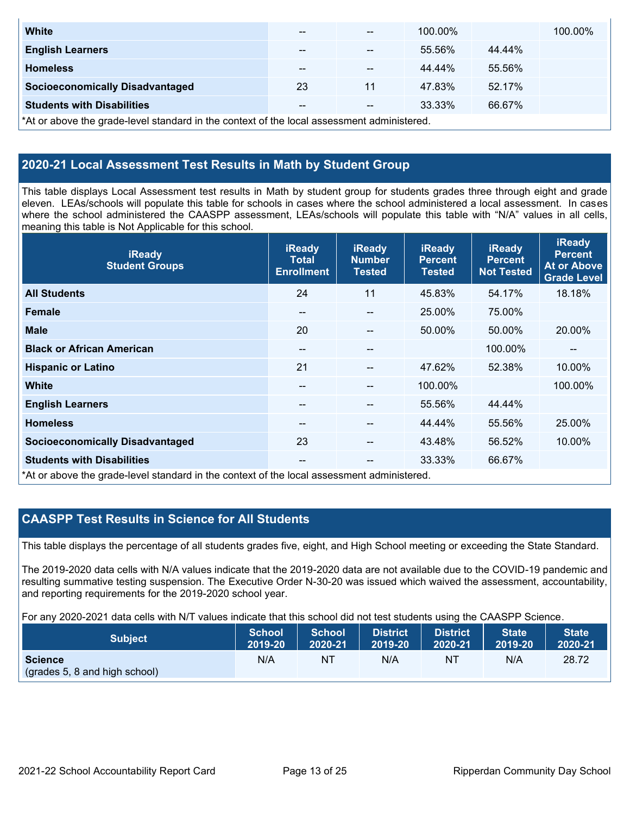| <b>White</b>                                                                               | $- -$ | $- -$ | 100.00% |        | 100.00% |  |
|--------------------------------------------------------------------------------------------|-------|-------|---------|--------|---------|--|
| <b>English Learners</b>                                                                    | $- -$ | --    | 55.56%  | 44.44% |         |  |
| <b>Homeless</b>                                                                            | $- -$ | --    | 44.44%  | 55.56% |         |  |
| <b>Socioeconomically Disadvantaged</b>                                                     | 23    | 11    | 47.83%  | 52.17% |         |  |
| <b>Students with Disabilities</b>                                                          | $- -$ | --    | 33.33%  | 66.67% |         |  |
| *At or above the grade-level standard in the context of the local assessment administered. |       |       |         |        |         |  |

### **2020-21 Local Assessment Test Results in Math by Student Group**

This table displays Local Assessment test results in Math by student group for students grades three through eight and grade eleven. LEAs/schools will populate this table for schools in cases where the school administered a local assessment. In cases where the school administered the CAASPP assessment, LEAs/schools will populate this table with "N/A" values in all cells, meaning this table is Not Applicable for this school.

| <b>iReady</b><br><b>Student Groups</b>                                                     | <b>iReady</b><br><b>Total</b><br><b>Enrollment</b> | <b>iReady</b><br><b>Number</b><br><b>Tested</b> | <b>iReady</b><br><b>Percent</b><br><b>Tested</b> | <b>iReady</b><br><b>Percent</b><br><b>Not Tested</b> | <b>iReady</b><br><b>Percent</b><br><b>At or Above</b><br><b>Grade Level</b> |
|--------------------------------------------------------------------------------------------|----------------------------------------------------|-------------------------------------------------|--------------------------------------------------|------------------------------------------------------|-----------------------------------------------------------------------------|
| <b>All Students</b>                                                                        | 24                                                 | 11                                              | 45.83%                                           | 54.17%                                               | 18.18%                                                                      |
| <b>Female</b>                                                                              | --                                                 | $\sim$                                          | 25.00%                                           | 75.00%                                               |                                                                             |
| <b>Male</b>                                                                                | 20                                                 | --                                              | 50.00%                                           | 50.00%                                               | 20.00%                                                                      |
| <b>Black or African American</b>                                                           | --                                                 | $- -$                                           |                                                  | 100.00%                                              | --                                                                          |
| <b>Hispanic or Latino</b>                                                                  | 21                                                 | $\overline{a}$                                  | 47.62%                                           | 52.38%                                               | 10.00%                                                                      |
| <b>White</b>                                                                               | $- -$                                              | --                                              | 100.00%                                          |                                                      | 100.00%                                                                     |
| <b>English Learners</b>                                                                    | --                                                 | --                                              | 55.56%                                           | 44.44%                                               |                                                                             |
| <b>Homeless</b>                                                                            | --                                                 | $\overline{a}$                                  | 44.44%                                           | 55.56%                                               | 25.00%                                                                      |
| <b>Socioeconomically Disadvantaged</b>                                                     | 23                                                 | --                                              | 43.48%                                           | 56.52%                                               | 10.00%                                                                      |
| <b>Students with Disabilities</b>                                                          | $\qquad \qquad -$                                  | --                                              | 33.33%                                           | 66.67%                                               |                                                                             |
| *At or above the grade-level standard in the context of the local assessment administered. |                                                    |                                                 |                                                  |                                                      |                                                                             |

# **CAASPP Test Results in Science for All Students**

This table displays the percentage of all students grades five, eight, and High School meeting or exceeding the State Standard.

The 2019-2020 data cells with N/A values indicate that the 2019-2020 data are not available due to the COVID-19 pandemic and resulting summative testing suspension. The Executive Order N-30-20 was issued which waived the assessment, accountability, and reporting requirements for the 2019-2020 school year.

For any 2020-2021 data cells with N/T values indicate that this school did not test students using the CAASPP Science.

| <b>Subject</b>                                  | <b>School</b> | <b>School</b> | <b>District</b> | District | State <sup>1</sup> | <b>State</b> |
|-------------------------------------------------|---------------|---------------|-----------------|----------|--------------------|--------------|
|                                                 | 2019-20       | 2020-21       | 2019-20         | 2020-21  | 2019-20            | 2020-21      |
| <b>Science</b><br>(grades 5, 8 and high school) | N/A           | ΝT            | N/A             | ΝT       | N/A                | 28.72        |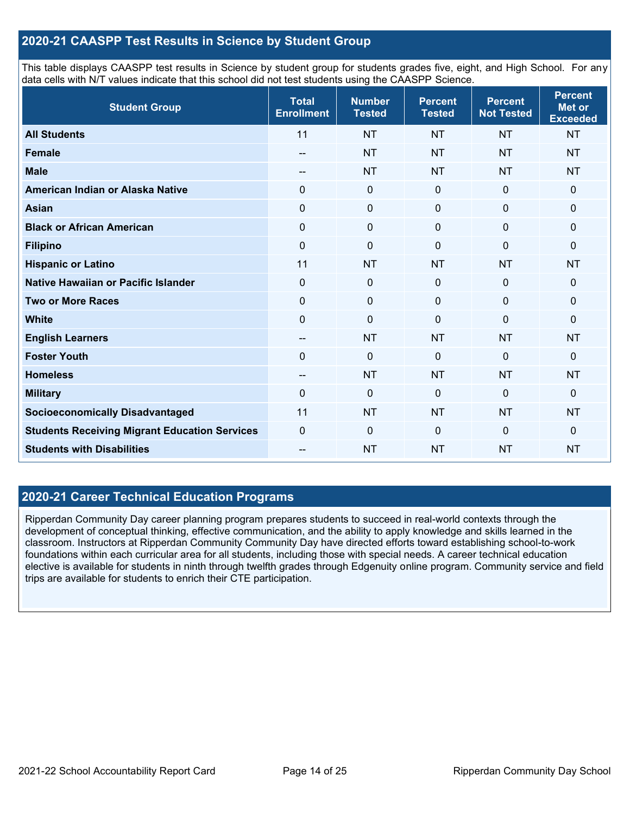#### **2020-21 CAASPP Test Results in Science by Student Group**

This table displays CAASPP test results in Science by student group for students grades five, eight, and High School. For any data cells with N/T values indicate that this school did not test students using the CAASPP Science.

| <b>Student Group</b>                                 | <b>Total</b><br><b>Enrollment</b> | <b>Number</b><br><b>Tested</b> | <b>Percent</b><br><b>Tested</b> | <b>Percent</b><br><b>Not Tested</b> | <b>Percent</b><br><b>Met or</b><br><b>Exceeded</b> |
|------------------------------------------------------|-----------------------------------|--------------------------------|---------------------------------|-------------------------------------|----------------------------------------------------|
| <b>All Students</b>                                  | 11                                | <b>NT</b>                      | <b>NT</b>                       | <b>NT</b>                           | <b>NT</b>                                          |
| <b>Female</b>                                        | --                                | <b>NT</b>                      | <b>NT</b>                       | <b>NT</b>                           | <b>NT</b>                                          |
| <b>Male</b>                                          | --                                | <b>NT</b>                      | <b>NT</b>                       | <b>NT</b>                           | <b>NT</b>                                          |
| American Indian or Alaska Native                     | 0                                 | $\mathbf 0$                    | $\mathbf 0$                     | $\mathbf 0$                         | 0                                                  |
| <b>Asian</b>                                         | $\mathbf 0$                       | $\pmb{0}$                      | $\pmb{0}$                       | $\mathbf 0$                         | 0                                                  |
| <b>Black or African American</b>                     | $\mathbf 0$                       | $\pmb{0}$                      | $\mathbf 0$                     | $\mathbf 0$                         | 0                                                  |
| <b>Filipino</b>                                      | $\mathbf 0$                       | $\mathbf 0$                    | $\Omega$                        | $\Omega$                            | 0                                                  |
| <b>Hispanic or Latino</b>                            | 11                                | <b>NT</b>                      | <b>NT</b>                       | <b>NT</b>                           | <b>NT</b>                                          |
| Native Hawaiian or Pacific Islander                  | $\overline{0}$                    | $\mathbf 0$                    | $\Omega$                        | $\mathbf 0$                         | 0                                                  |
| <b>Two or More Races</b>                             | $\mathbf 0$                       | $\mathbf 0$                    | $\mathbf{0}$                    | $\mathbf{0}$                        | 0                                                  |
| <b>White</b>                                         | $\mathbf 0$                       | $\mathbf 0$                    | $\mathbf 0$                     | $\mathbf 0$                         | 0                                                  |
| <b>English Learners</b>                              | --                                | <b>NT</b>                      | <b>NT</b>                       | <b>NT</b>                           | <b>NT</b>                                          |
| <b>Foster Youth</b>                                  | $\mathbf 0$                       | $\mathbf 0$                    | $\mathbf 0$                     | $\mathbf 0$                         | 0                                                  |
| <b>Homeless</b>                                      | $\qquad \qquad -$                 | <b>NT</b>                      | <b>NT</b>                       | <b>NT</b>                           | <b>NT</b>                                          |
| <b>Military</b>                                      | 0                                 | $\pmb{0}$                      | 0                               | $\Omega$                            | 0                                                  |
| <b>Socioeconomically Disadvantaged</b>               | 11                                | <b>NT</b>                      | <b>NT</b>                       | <b>NT</b>                           | <b>NT</b>                                          |
| <b>Students Receiving Migrant Education Services</b> | $\mathbf 0$                       | $\mathbf 0$                    | $\mathbf{0}$                    | $\overline{0}$                      | 0                                                  |
| <b>Students with Disabilities</b>                    |                                   | <b>NT</b>                      | <b>NT</b>                       | <b>NT</b>                           | <b>NT</b>                                          |

#### **2020-21 Career Technical Education Programs**

Ripperdan Community Day career planning program prepares students to succeed in real-world contexts through the development of conceptual thinking, effective communication, and the ability to apply knowledge and skills learned in the classroom. Instructors at Ripperdan Community Community Day have directed efforts toward establishing school-to-work foundations within each curricular area for all students, including those with special needs. A career technical education elective is available for students in ninth through twelfth grades through Edgenuity online program. Community service and field trips are available for students to enrich their CTE participation.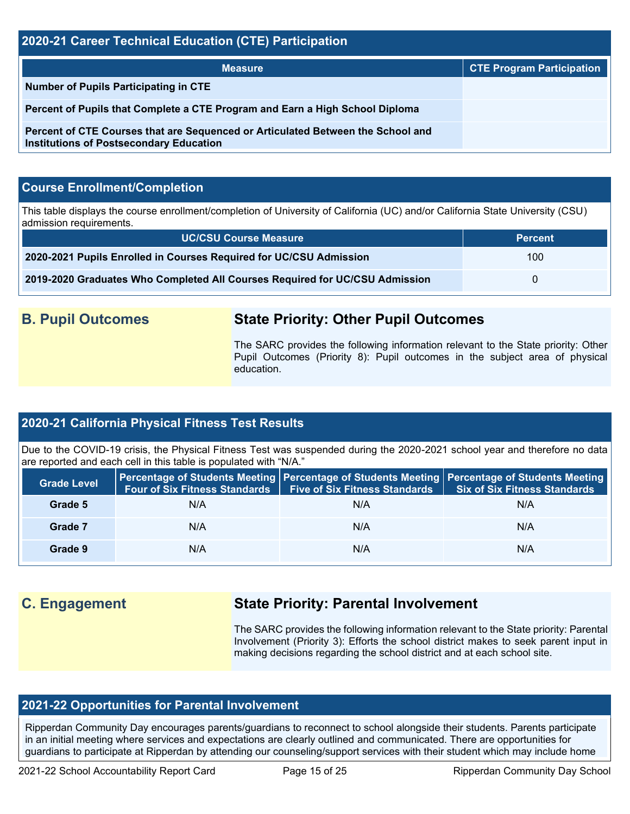#### **2020-21 Career Technical Education (CTE) Participation**

| <b>Measure</b>                                                                                                                    | <b>CTE Program Participation</b> |
|-----------------------------------------------------------------------------------------------------------------------------------|----------------------------------|
| <b>Number of Pupils Participating in CTE</b>                                                                                      |                                  |
| Percent of Pupils that Complete a CTE Program and Earn a High School Diploma                                                      |                                  |
| Percent of CTE Courses that are Sequenced or Articulated Between the School and<br><b>Institutions of Postsecondary Education</b> |                                  |

#### **Course Enrollment/Completion**

This table displays the course enrollment/completion of University of California (UC) and/or California State University (CSU) admission requirements.

| <b>UC/CSU Course Measure</b>                                                | <b>Percent</b> |
|-----------------------------------------------------------------------------|----------------|
| 2020-2021 Pupils Enrolled in Courses Required for UC/CSU Admission          | 100            |
| 2019-2020 Graduates Who Completed All Courses Required for UC/CSU Admission | $\mathbf{U}$   |

# **B. Pupil Outcomes State Priority: Other Pupil Outcomes**

The SARC provides the following information relevant to the State priority: Other Pupil Outcomes (Priority 8): Pupil outcomes in the subject area of physical education.

#### **2020-21 California Physical Fitness Test Results**

Due to the COVID-19 crisis, the Physical Fitness Test was suspended during the 2020-2021 school year and therefore no data are reported and each cell in this table is populated with "N/A."

| <b>Grade Level</b> | <b>Four of Six Fitness Standards</b> | <b>Five of Six Fitness Standards</b> | <b>Percentage of Students Meeting   Percentage of Students Meeting   Percentage of Students Meeting  </b><br><b>Six of Six Fitness Standards</b> |
|--------------------|--------------------------------------|--------------------------------------|--------------------------------------------------------------------------------------------------------------------------------------------------|
| Grade 5            | N/A                                  | N/A                                  | N/A                                                                                                                                              |
| Grade 7            | N/A                                  | N/A                                  | N/A                                                                                                                                              |
| Grade 9            | N/A                                  | N/A                                  | N/A                                                                                                                                              |

# **C. Engagement State Priority: Parental Involvement**

The SARC provides the following information relevant to the State priority: Parental Involvement (Priority 3): Efforts the school district makes to seek parent input in making decisions regarding the school district and at each school site.

#### **2021-22 Opportunities for Parental Involvement**

Ripperdan Community Day encourages parents/guardians to reconnect to school alongside their students. Parents participate in an initial meeting where services and expectations are clearly outlined and communicated. There are opportunities for guardians to participate at Ripperdan by attending our counseling/support services with their student which may include home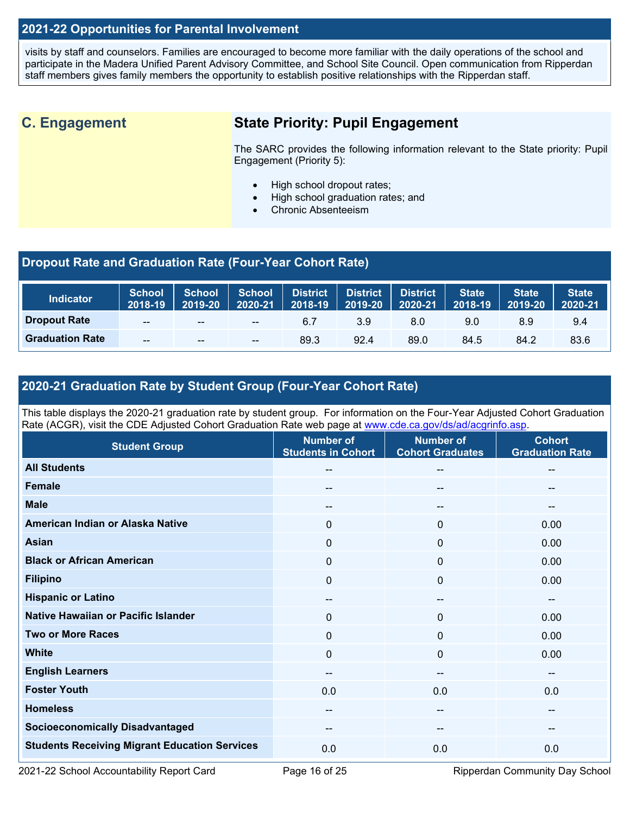#### **2021-22 Opportunities for Parental Involvement**

visits by staff and counselors. Families are encouraged to become more familiar with the daily operations of the school and participate in the Madera Unified Parent Advisory Committee, and School Site Council. Open communication from Ripperdan staff members gives family members the opportunity to establish positive relationships with the Ripperdan staff.

# **C. Engagement State Priority: Pupil Engagement**

The SARC provides the following information relevant to the State priority: Pupil Engagement (Priority 5):

- High school dropout rates;
- High school graduation rates; and
- Chronic Absenteeism

#### **Dropout Rate and Graduation Rate (Four-Year Cohort Rate)**

| <b>Indicator</b>       | <b>School</b><br>2018-19 | <b>School</b><br>2019-20 | <b>School</b><br>2020-21              | <b>District</b><br>2018-19 | <b>District</b><br>$ 2019-20 $ | <b>District</b><br>2020-21 | State<br>2018-19 | <b>State</b><br>2019-20 | <b>State</b><br>2020-21 |
|------------------------|--------------------------|--------------------------|---------------------------------------|----------------------------|--------------------------------|----------------------------|------------------|-------------------------|-------------------------|
| <b>Dropout Rate</b>    | $- -$                    | $- -$                    | $\hspace{0.05cm}$ – $\hspace{0.05cm}$ | 6.7                        | 3.9                            | 8.0                        | 9.0              | 8.9                     | 9.4                     |
| <b>Graduation Rate</b> | $- -$                    | $- -$                    | $- -$                                 | 89.3                       | 92.4                           | 89.0                       | 84.5             | 84.2                    | 83.6                    |

#### **2020-21 Graduation Rate by Student Group (Four-Year Cohort Rate)**

This table displays the 2020-21 graduation rate by student group. For information on the Four-Year Adjusted Cohort Graduation Rate (ACGR), visit the CDE Adjusted Cohort Graduation Rate web page at [www.cde.ca.gov/ds/ad/acgrinfo.asp.](http://www.cde.ca.gov/ds/ad/acgrinfo.asp)

| <b>Student Group</b>                                 | <b>Number of</b><br><b>Students in Cohort</b> | <b>Number of</b><br><b>Cohort Graduates</b> | <b>Cohort</b><br><b>Graduation Rate</b> |
|------------------------------------------------------|-----------------------------------------------|---------------------------------------------|-----------------------------------------|
| <b>All Students</b>                                  | --                                            | $\overline{\phantom{a}}$                    | $\overline{\phantom{m}}$                |
| <b>Female</b>                                        | --                                            | $\overline{\phantom{a}}$                    | --                                      |
| <b>Male</b>                                          | --                                            | --                                          | --                                      |
| American Indian or Alaska Native                     | 0                                             | 0                                           | 0.00                                    |
| Asian                                                | 0                                             | 0                                           | 0.00                                    |
| <b>Black or African American</b>                     | 0                                             | $\mathbf 0$                                 | 0.00                                    |
| <b>Filipino</b>                                      | 0                                             | 0                                           | 0.00                                    |
| <b>Hispanic or Latino</b>                            | $- -$                                         | --                                          | --                                      |
| Native Hawaiian or Pacific Islander                  | 0                                             | 0                                           | 0.00                                    |
| <b>Two or More Races</b>                             | $\mathbf 0$                                   | $\mathbf 0$                                 | 0.00                                    |
| <b>White</b>                                         | 0                                             | $\mathbf 0$                                 | 0.00                                    |
| <b>English Learners</b>                              | --                                            | $\overline{\phantom{m}}$                    | $\sim$                                  |
| <b>Foster Youth</b>                                  | 0.0                                           | 0.0                                         | 0.0                                     |
| <b>Homeless</b>                                      | $\sim$                                        | $\hspace{0.05cm}$                           | $\sim$                                  |
| <b>Socioeconomically Disadvantaged</b>               | $\overline{\phantom{m}}$                      | $\overline{\phantom{a}}$                    | $\qquad \qquad \cdots$                  |
| <b>Students Receiving Migrant Education Services</b> | 0.0                                           | 0.0                                         | 0.0                                     |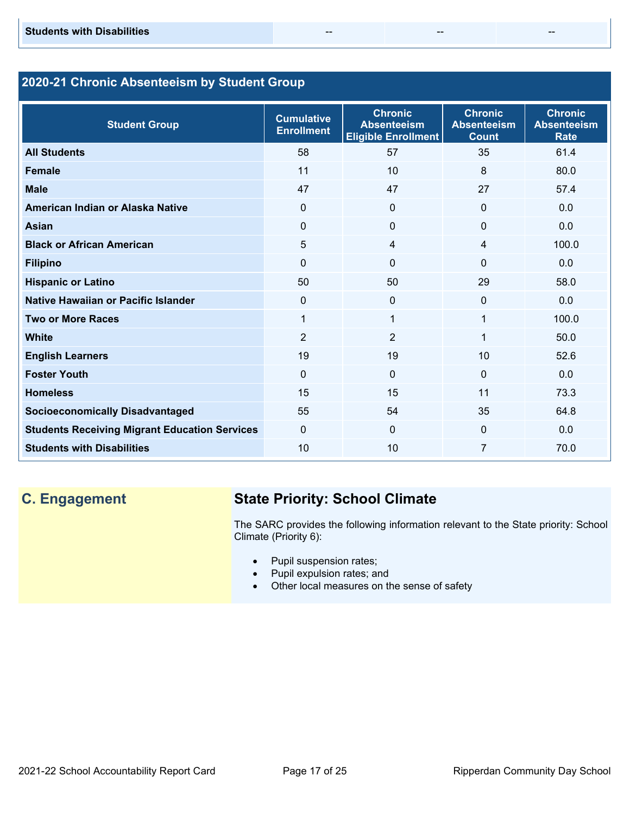### **2020-21 Chronic Absenteeism by Student Group**

| <b>Student Group</b>                                 | <b>Cumulative</b><br><b>Enrollment</b> | <b>Chronic</b><br><b>Absenteeism</b><br>Eligible Enrollment | <b>Chronic</b><br><b>Absenteeism</b><br><b>Count</b> | <b>Chronic</b><br><b>Absenteeism</b><br><b>Rate</b> |
|------------------------------------------------------|----------------------------------------|-------------------------------------------------------------|------------------------------------------------------|-----------------------------------------------------|
| <b>All Students</b>                                  | 58                                     | 57                                                          | 35                                                   | 61.4                                                |
| <b>Female</b>                                        | 11                                     | 10                                                          | 8                                                    | 80.0                                                |
| <b>Male</b>                                          | 47                                     | 47                                                          | 27                                                   | 57.4                                                |
| American Indian or Alaska Native                     | $\mathbf{0}$                           | $\Omega$                                                    | $\Omega$                                             | 0.0                                                 |
| <b>Asian</b>                                         | $\Omega$                               | $\Omega$                                                    | $\Omega$                                             | 0.0                                                 |
| <b>Black or African American</b>                     | 5                                      | 4                                                           | 4                                                    | 100.0                                               |
| <b>Filipino</b>                                      | $\mathbf{0}$                           | $\Omega$                                                    | $\Omega$                                             | 0.0                                                 |
| <b>Hispanic or Latino</b>                            | 50                                     | 50                                                          | 29                                                   | 58.0                                                |
| Native Hawaiian or Pacific Islander                  | $\Omega$                               | $\Omega$                                                    | $\Omega$                                             | 0.0                                                 |
| <b>Two or More Races</b>                             | 1                                      | 1                                                           | $\mathbf 1$                                          | 100.0                                               |
| <b>White</b>                                         | $\overline{2}$                         | $\overline{2}$                                              | 1                                                    | 50.0                                                |
| <b>English Learners</b>                              | 19                                     | 19                                                          | 10                                                   | 52.6                                                |
| <b>Foster Youth</b>                                  | $\Omega$                               | $\Omega$                                                    | $\Omega$                                             | 0.0                                                 |
| <b>Homeless</b>                                      | 15                                     | 15                                                          | 11                                                   | 73.3                                                |
| <b>Socioeconomically Disadvantaged</b>               | 55                                     | 54                                                          | 35                                                   | 64.8                                                |
| <b>Students Receiving Migrant Education Services</b> | $\mathbf{0}$                           | $\Omega$                                                    | $\Omega$                                             | 0.0                                                 |
| <b>Students with Disabilities</b>                    | 10                                     | 10                                                          | 7                                                    | 70.0                                                |

# **C. Engagement State Priority: School Climate**

The SARC provides the following information relevant to the State priority: School Climate (Priority 6):

- Pupil suspension rates;
- Pupil expulsion rates; and
- Other local measures on the sense of safety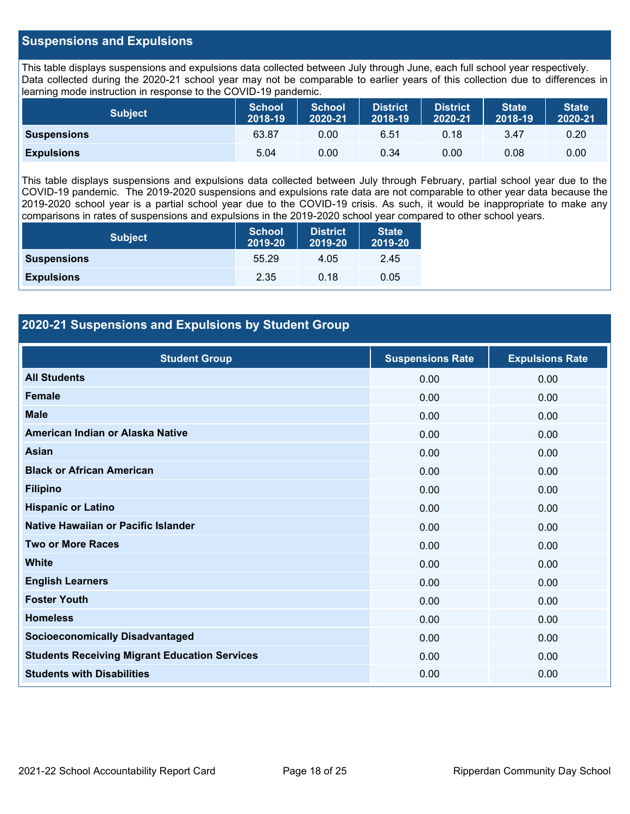#### **Suspensions and Expulsions**

This table displays suspensions and expulsions data collected between July through June, each full school year respectively. Data collected during the 2020-21 school year may not be comparable to earlier years of this collection due to differences in learning mode instruction in response to the COVID-19 pandemic.

| <b>Subject</b>     | <b>School</b><br>2018-19 | <b>School</b><br>2020-21 | <b>District</b><br>2018-19 | <b>District</b><br>2020-21 | <b>State</b><br>2018-19 | <b>State</b><br>2020-21 |
|--------------------|--------------------------|--------------------------|----------------------------|----------------------------|-------------------------|-------------------------|
| <b>Suspensions</b> | 63.87                    | 0.00                     | 6.51                       | 0.18                       | 3.47                    | 0.20                    |
| <b>Expulsions</b>  | 5.04                     | 0.00                     | 0.34                       | 0.00                       | 0.08                    | 0.00                    |

This table displays suspensions and expulsions data collected between July through February, partial school year due to the COVID-19 pandemic. The 2019-2020 suspensions and expulsions rate data are not comparable to other year data because the 2019-2020 school year is a partial school year due to the COVID-19 crisis. As such, it would be inappropriate to make any comparisons in rates of suspensions and expulsions in the 2019-2020 school year compared to other school years.

| <b>Subject</b>     | <b>School</b><br>2019-20 | <b>District</b><br>2019-20 | <b>State</b><br>2019-20 |
|--------------------|--------------------------|----------------------------|-------------------------|
| <b>Suspensions</b> | 55.29                    | 4.05                       | 2.45                    |
| <b>Expulsions</b>  | 2.35                     | 0.18                       | 0.05                    |

#### **2020-21 Suspensions and Expulsions by Student Group**

| <b>Student Group</b>                                 | <b>Suspensions Rate</b> | <b>Expulsions Rate</b> |
|------------------------------------------------------|-------------------------|------------------------|
| <b>All Students</b>                                  | 0.00                    | 0.00                   |
| <b>Female</b>                                        | 0.00                    | 0.00                   |
| <b>Male</b>                                          | 0.00                    | 0.00                   |
| American Indian or Alaska Native                     | 0.00                    | 0.00                   |
| <b>Asian</b>                                         | 0.00                    | 0.00                   |
| <b>Black or African American</b>                     | 0.00                    | 0.00                   |
| <b>Filipino</b>                                      | 0.00                    | 0.00                   |
| <b>Hispanic or Latino</b>                            | 0.00                    | 0.00                   |
| Native Hawaiian or Pacific Islander                  | 0.00                    | 0.00                   |
| <b>Two or More Races</b>                             | 0.00                    | 0.00                   |
| <b>White</b>                                         | 0.00                    | 0.00                   |
| <b>English Learners</b>                              | 0.00                    | 0.00                   |
| <b>Foster Youth</b>                                  | 0.00                    | 0.00                   |
| <b>Homeless</b>                                      | 0.00                    | 0.00                   |
| <b>Socioeconomically Disadvantaged</b>               | 0.00                    | 0.00                   |
| <b>Students Receiving Migrant Education Services</b> | 0.00                    | 0.00                   |
| <b>Students with Disabilities</b>                    | 0.00                    | 0.00                   |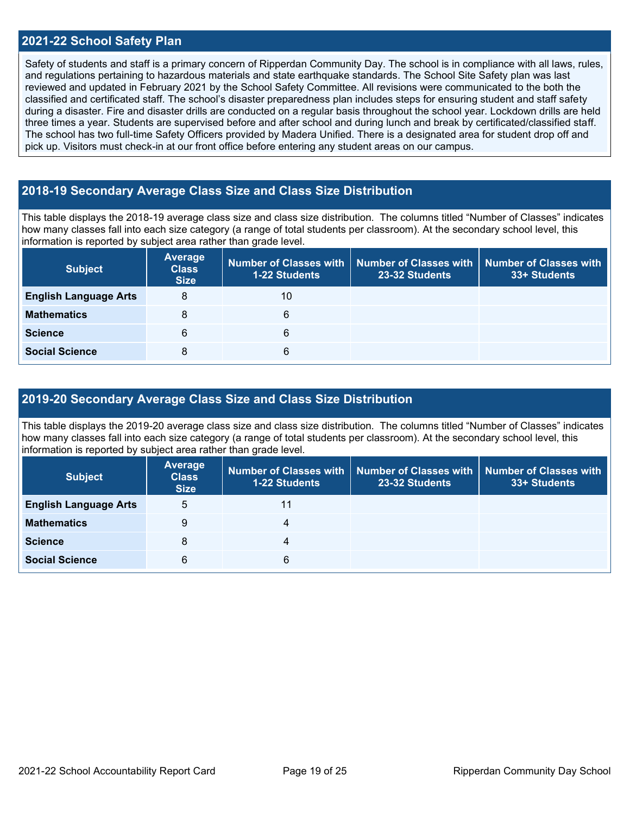#### **2021-22 School Safety Plan**

Safety of students and staff is a primary concern of Ripperdan Community Day. The school is in compliance with all laws, rules, and regulations pertaining to hazardous materials and state earthquake standards. The School Site Safety plan was last reviewed and updated in February 2021 by the School Safety Committee. All revisions were communicated to the both the classified and certificated staff. The school's disaster preparedness plan includes steps for ensuring student and staff safety during a disaster. Fire and disaster drills are conducted on a regular basis throughout the school year. Lockdown drills are held three times a year. Students are supervised before and after school and during lunch and break by certificated/classified staff. The school has two full-time Safety Officers provided by Madera Unified. There is a designated area for student drop off and pick up. Visitors must check-in at our front office before entering any student areas on our campus.

#### **2018-19 Secondary Average Class Size and Class Size Distribution**

This table displays the 2018-19 average class size and class size distribution. The columns titled "Number of Classes" indicates how many classes fall into each size category (a range of total students per classroom). At the secondary school level, this information is reported by subject area rather than grade level.

| <b>Subject</b>               | <b>Average</b><br><b>Class</b><br><b>Size</b> | 1-22 Students | Number of Classes with   Number of Classes with  <br>23-32 Students | <b>Number of Classes with</b><br>33+ Students |
|------------------------------|-----------------------------------------------|---------------|---------------------------------------------------------------------|-----------------------------------------------|
| <b>English Language Arts</b> | 8                                             | 10            |                                                                     |                                               |
| <b>Mathematics</b>           | 8                                             | 6             |                                                                     |                                               |
| <b>Science</b>               | 6                                             | 6             |                                                                     |                                               |
| <b>Social Science</b>        | 8                                             | 6             |                                                                     |                                               |

#### **2019-20 Secondary Average Class Size and Class Size Distribution**

This table displays the 2019-20 average class size and class size distribution. The columns titled "Number of Classes" indicates how many classes fall into each size category (a range of total students per classroom). At the secondary school level, this information is reported by subject area rather than grade level.

| <b>Subject</b>               | Average<br><b>Class</b><br><b>Size</b> | 1-22 Students | Number of Classes with   Number of Classes with  <br>23-32 Students | Number of Classes with<br>33+ Students |
|------------------------------|----------------------------------------|---------------|---------------------------------------------------------------------|----------------------------------------|
| <b>English Language Arts</b> | 5                                      | 11            |                                                                     |                                        |
| <b>Mathematics</b>           | 9                                      |               |                                                                     |                                        |
| <b>Science</b>               | 8                                      | 4             |                                                                     |                                        |
| <b>Social Science</b>        | 6                                      | 6             |                                                                     |                                        |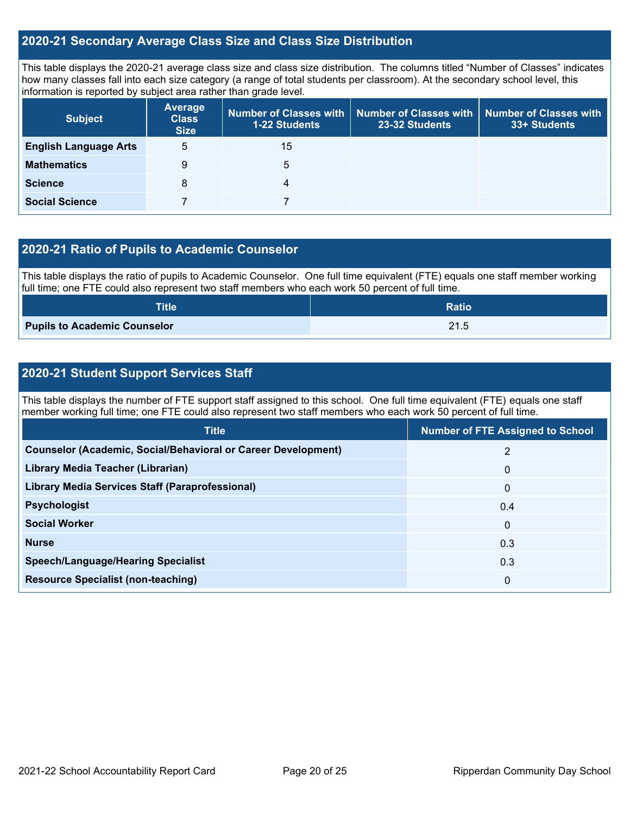#### **2020-21 Secondary Average Class Size and Class Size Distribution**

This table displays the 2020-21 average class size and class size distribution. The columns titled "Number of Classes" indicates how many classes fall into each size category (a range of total students per classroom). At the secondary school level, this information is reported by subject area rather than grade level.

| <b>Subject</b>               | <b>Average</b><br><b>Class</b><br><b>Size</b> | 1-22 Students | Number of Classes with   Number of Classes with   Number of Classes with<br>23-32 Students | 33+ Students |
|------------------------------|-----------------------------------------------|---------------|--------------------------------------------------------------------------------------------|--------------|
| <b>English Language Arts</b> | 5                                             | 15            |                                                                                            |              |
| <b>Mathematics</b>           | 9                                             | 5             |                                                                                            |              |
| <b>Science</b>               | 8                                             | 4             |                                                                                            |              |
| <b>Social Science</b>        |                                               |               |                                                                                            |              |

#### **2020-21 Ratio of Pupils to Academic Counselor**

This table displays the ratio of pupils to Academic Counselor. One full time equivalent (FTE) equals one staff member working full time; one FTE could also represent two staff members who each work 50 percent of full time.

| <b>Title</b>                        | <b>Ratio</b> |
|-------------------------------------|--------------|
| <b>Pupils to Academic Counselor</b> | 21.5         |

#### **2020-21 Student Support Services Staff**

This table displays the number of FTE support staff assigned to this school. One full time equivalent (FTE) equals one staff member working full time; one FTE could also represent two staff members who each work 50 percent of full time.

| <b>Title</b>                                                         | <b>Number of FTE Assigned to School</b> |
|----------------------------------------------------------------------|-----------------------------------------|
| <b>Counselor (Academic, Social/Behavioral or Career Development)</b> | 2                                       |
| Library Media Teacher (Librarian)                                    | $\mathbf{0}$                            |
| <b>Library Media Services Staff (Paraprofessional)</b>               | $\mathbf{0}$                            |
| <b>Psychologist</b>                                                  | 0.4                                     |
| <b>Social Worker</b>                                                 | $\mathbf 0$                             |
| <b>Nurse</b>                                                         | 0.3                                     |
| <b>Speech/Language/Hearing Specialist</b>                            | 0.3                                     |
| <b>Resource Specialist (non-teaching)</b>                            | 0                                       |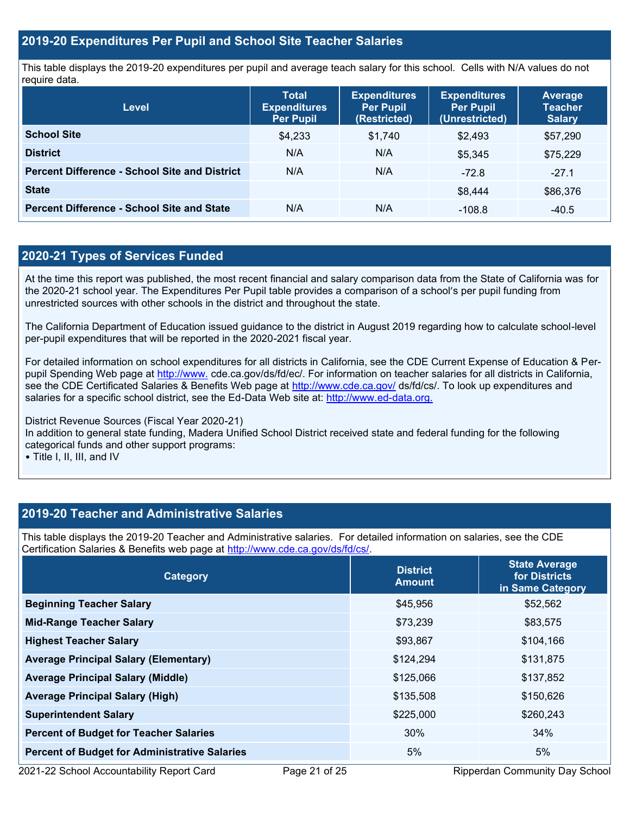#### **2019-20 Expenditures Per Pupil and School Site Teacher Salaries**

This table displays the 2019-20 expenditures per pupil and average teach salary for this school. Cells with N/A values do not require data.

| Level                                                | <b>Total</b><br><b>Expenditures</b><br><b>Per Pupil</b> | <b>Expenditures</b><br><b>Per Pupil</b><br>(Restricted) | <b>Expenditures</b><br><b>Per Pupil</b><br>(Unrestricted) | <b>Average</b><br><b>Teacher</b><br><b>Salary</b> |
|------------------------------------------------------|---------------------------------------------------------|---------------------------------------------------------|-----------------------------------------------------------|---------------------------------------------------|
| <b>School Site</b>                                   | \$4,233                                                 | \$1,740                                                 | \$2.493                                                   | \$57,290                                          |
| <b>District</b>                                      | N/A                                                     | N/A                                                     | \$5.345                                                   | \$75,229                                          |
| <b>Percent Difference - School Site and District</b> | N/A                                                     | N/A                                                     | $-72.8$                                                   | $-27.1$                                           |
| <b>State</b>                                         |                                                         |                                                         | \$8.444                                                   | \$86,376                                          |
| <b>Percent Difference - School Site and State</b>    | N/A                                                     | N/A                                                     | $-108.8$                                                  | $-40.5$                                           |

### **2020-21 Types of Services Funded**

At the time this report was published, the most recent financial and salary comparison data from the State of California was for the 2020-21 school year. The Expenditures Per Pupil table provides a comparison of a school's per pupil funding from unrestricted sources with other schools in the district and throughout the state.

The California Department of Education issued guidance to the district in August 2019 regarding how to calculate school-level per-pupil expenditures that will be reported in the 2020-2021 fiscal year.

For detailed information on school expenditures for all districts in California, see the CDE Current Expense of Education & Perpupil Spending Web page at [http://www.](http://www./) cde.ca.gov/ds/fd/ec/. For information on teacher salaries for all districts in California, see the CDE Certificated Salaries & Benefits Web page at<http://www.cde.ca.gov/> ds/fd/cs/. To look up expenditures and salaries for a specific school district, see the Ed-Data Web site at: [http://www.ed-data.org.](http://www.ed-data.org./)

District Revenue Sources (Fiscal Year 2020-21) In addition to general state funding, Madera Unified School District received state and federal funding for the following categorical funds and other support programs:

• Title I, II, III, and IV

#### **2019-20 Teacher and Administrative Salaries**

This table displays the 2019-20 Teacher and Administrative salaries. For detailed information on salaries, see the CDE Certification Salaries & Benefits web page at [http://www.cde.ca.gov/ds/fd/cs/.](http://www.cde.ca.gov/ds/fd/cs/)

| Category                                             | <b>District</b><br><b>Amount</b> | <b>State Average</b><br>for Districts<br>in Same Category |  |
|------------------------------------------------------|----------------------------------|-----------------------------------------------------------|--|
| <b>Beginning Teacher Salary</b>                      | \$45,956                         | \$52,562                                                  |  |
| <b>Mid-Range Teacher Salary</b>                      | \$73,239                         | \$83,575                                                  |  |
| <b>Highest Teacher Salary</b>                        | \$93,867                         | \$104,166                                                 |  |
| <b>Average Principal Salary (Elementary)</b>         | \$124,294                        | \$131,875                                                 |  |
| <b>Average Principal Salary (Middle)</b>             | \$125,066                        | \$137,852                                                 |  |
| <b>Average Principal Salary (High)</b>               | \$135,508                        | \$150,626                                                 |  |
| <b>Superintendent Salary</b>                         | \$225,000                        | \$260,243                                                 |  |
| <b>Percent of Budget for Teacher Salaries</b>        | 30%                              | 34%                                                       |  |
| <b>Percent of Budget for Administrative Salaries</b> | 5%                               | 5%                                                        |  |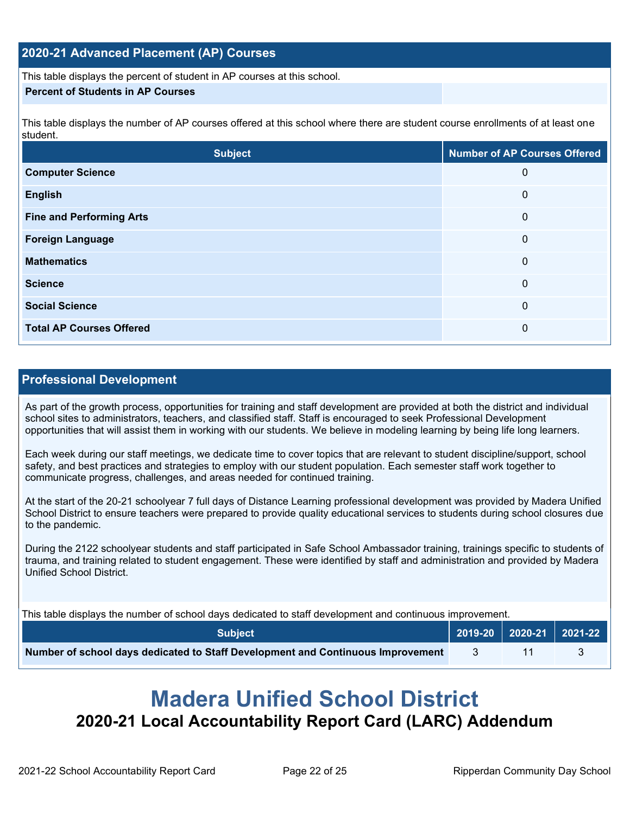#### **2020-21 Advanced Placement (AP) Courses**

This table displays the percent of student in AP courses at this school.

#### **Percent of Students in AP Courses**

This table displays the number of AP courses offered at this school where there are student course enrollments of at least one student.

| <b>Subject</b>                  | <b>Number of AP Courses Offered</b> |
|---------------------------------|-------------------------------------|
| <b>Computer Science</b>         | $\mathbf 0$                         |
| <b>English</b>                  | $\mathbf 0$                         |
| <b>Fine and Performing Arts</b> | $\mathbf 0$                         |
| <b>Foreign Language</b>         | $\mathbf 0$                         |
| <b>Mathematics</b>              | $\mathbf 0$                         |
| <b>Science</b>                  | $\mathbf 0$                         |
| <b>Social Science</b>           | $\mathbf 0$                         |
| <b>Total AP Courses Offered</b> | $\mathbf 0$                         |

#### **Professional Development**

As part of the growth process, opportunities for training and staff development are provided at both the district and individual school sites to administrators, teachers, and classified staff. Staff is encouraged to seek Professional Development opportunities that will assist them in working with our students. We believe in modeling learning by being life long learners.

Each week during our staff meetings, we dedicate time to cover topics that are relevant to student discipline/support, school safety, and best practices and strategies to employ with our student population. Each semester staff work together to communicate progress, challenges, and areas needed for continued training.

At the start of the 20-21 schoolyear 7 full days of Distance Learning professional development was provided by Madera Unified School District to ensure teachers were prepared to provide quality educational services to students during school closures due to the pandemic.

During the 2122 schoolyear students and staff participated in Safe School Ambassador training, trainings specific to students of trauma, and training related to student engagement. These were identified by staff and administration and provided by Madera Unified School District.

This table displays the number of school days dedicated to staff development and continuous improvement.

| <b>Subject</b>                                                                  |  | $\vert$ 2019-20 2020-21 2021-22 |
|---------------------------------------------------------------------------------|--|---------------------------------|
| Number of school days dedicated to Staff Development and Continuous Improvement |  |                                 |

# **Madera Unified School District 2020-21 Local Accountability Report Card (LARC) Addendum**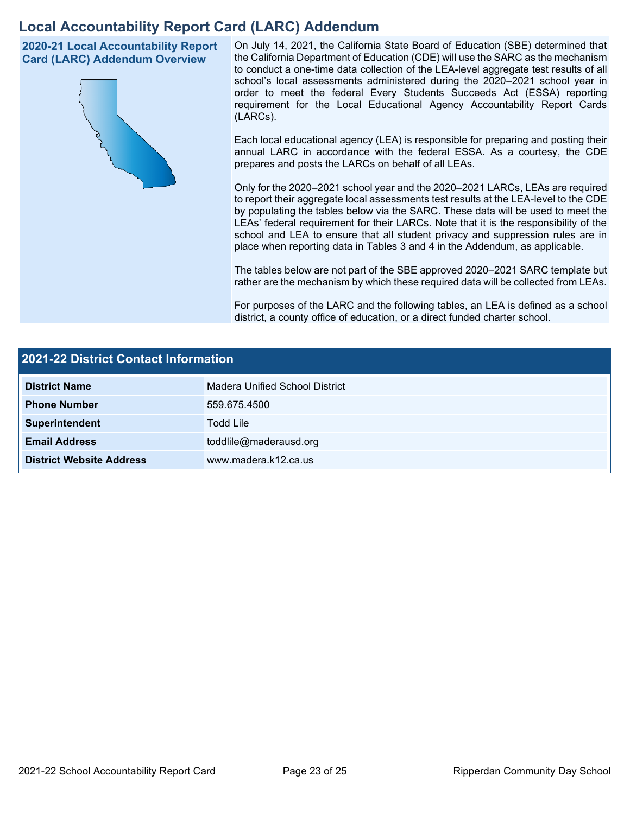# **Local Accountability Report Card (LARC) Addendum**

**2020-21 Local Accountability Report Card (LARC) Addendum Overview**



On July 14, 2021, the California State Board of Education (SBE) determined that the California Department of Education (CDE) will use the SARC as the mechanism to conduct a one-time data collection of the LEA-level aggregate test results of all school's local assessments administered during the 2020–2021 school year in order to meet the federal Every Students Succeeds Act (ESSA) reporting requirement for the Local Educational Agency Accountability Report Cards (LARCs).

Each local educational agency (LEA) is responsible for preparing and posting their annual LARC in accordance with the federal ESSA. As a courtesy, the CDE prepares and posts the LARCs on behalf of all LEAs.

Only for the 2020–2021 school year and the 2020–2021 LARCs, LEAs are required to report their aggregate local assessments test results at the LEA-level to the CDE by populating the tables below via the SARC. These data will be used to meet the LEAs' federal requirement for their LARCs. Note that it is the responsibility of the school and LEA to ensure that all student privacy and suppression rules are in place when reporting data in Tables 3 and 4 in the Addendum, as applicable.

The tables below are not part of the SBE approved 2020–2021 SARC template but rather are the mechanism by which these required data will be collected from LEAs.

For purposes of the LARC and the following tables, an LEA is defined as a school district, a county office of education, or a direct funded charter school.

| <b>2021-22 District Contact Information</b> |                                |  |  |
|---------------------------------------------|--------------------------------|--|--|
| <b>District Name</b>                        | Madera Unified School District |  |  |
| <b>Phone Number</b>                         | 559.675.4500                   |  |  |
| Superintendent                              | <b>Todd Lile</b>               |  |  |
| <b>Email Address</b>                        | toddlile@maderausd.org         |  |  |
| <b>District Website Address</b>             | www.madera.k12.ca.us           |  |  |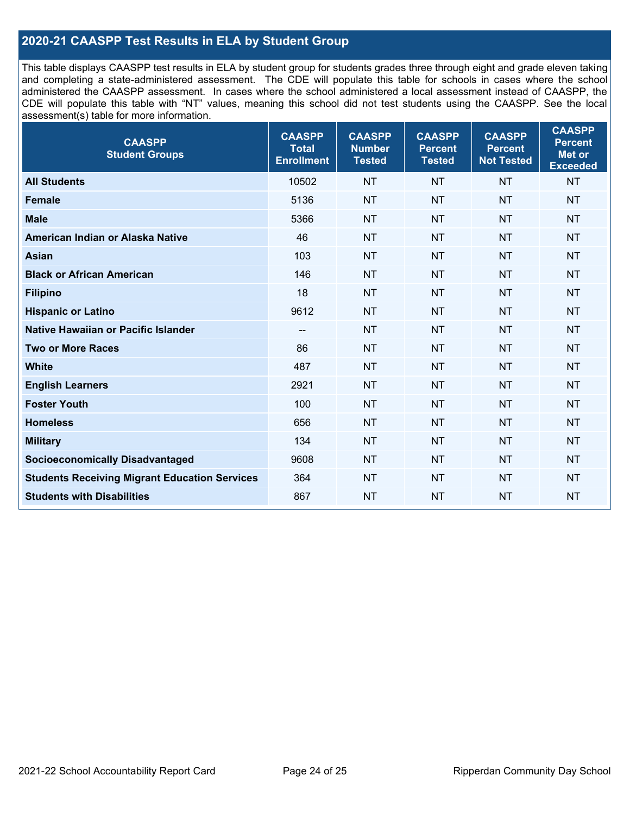### **2020-21 CAASPP Test Results in ELA by Student Group**

This table displays CAASPP test results in ELA by student group for students grades three through eight and grade eleven taking and completing a state-administered assessment. The CDE will populate this table for schools in cases where the school administered the CAASPP assessment. In cases where the school administered a local assessment instead of CAASPP, the CDE will populate this table with "NT" values, meaning this school did not test students using the CAASPP. See the local assessment(s) table for more information.

| <b>CAASPP</b><br><b>Total</b><br><b>Enrollment</b> | <b>CAASPP</b><br><b>Number</b><br><b>Tested</b> | <b>CAASPP</b><br><b>Percent</b><br><b>Tested</b> | <b>CAASPP</b><br><b>Percent</b><br><b>Not Tested</b> | <b>CAASPP</b><br><b>Percent</b><br>Met or<br><b>Exceeded</b> |
|----------------------------------------------------|-------------------------------------------------|--------------------------------------------------|------------------------------------------------------|--------------------------------------------------------------|
| 10502                                              | <b>NT</b>                                       | <b>NT</b>                                        | <b>NT</b>                                            | <b>NT</b>                                                    |
| 5136                                               | <b>NT</b>                                       | <b>NT</b>                                        | <b>NT</b>                                            | <b>NT</b>                                                    |
| 5366                                               | <b>NT</b>                                       | <b>NT</b>                                        | <b>NT</b>                                            | <b>NT</b>                                                    |
| 46                                                 | <b>NT</b>                                       | <b>NT</b>                                        | <b>NT</b>                                            | <b>NT</b>                                                    |
| 103                                                | <b>NT</b>                                       | <b>NT</b>                                        | <b>NT</b>                                            | <b>NT</b>                                                    |
| 146                                                | <b>NT</b>                                       | <b>NT</b>                                        | <b>NT</b>                                            | NT                                                           |
| 18                                                 | <b>NT</b>                                       | <b>NT</b>                                        | <b>NT</b>                                            | <b>NT</b>                                                    |
| 9612                                               | <b>NT</b>                                       | <b>NT</b>                                        | <b>NT</b>                                            | <b>NT</b>                                                    |
| --                                                 | <b>NT</b>                                       | <b>NT</b>                                        | <b>NT</b>                                            | <b>NT</b>                                                    |
| 86                                                 | <b>NT</b>                                       | <b>NT</b>                                        | <b>NT</b>                                            | <b>NT</b>                                                    |
| 487                                                | <b>NT</b>                                       | <b>NT</b>                                        | <b>NT</b>                                            | <b>NT</b>                                                    |
| 2921                                               | <b>NT</b>                                       | <b>NT</b>                                        | <b>NT</b>                                            | <b>NT</b>                                                    |
| 100                                                | <b>NT</b>                                       | <b>NT</b>                                        | <b>NT</b>                                            | <b>NT</b>                                                    |
| 656                                                | <b>NT</b>                                       | <b>NT</b>                                        | <b>NT</b>                                            | <b>NT</b>                                                    |
| 134                                                | <b>NT</b>                                       | <b>NT</b>                                        | <b>NT</b>                                            | <b>NT</b>                                                    |
| 9608                                               | <b>NT</b>                                       | <b>NT</b>                                        | <b>NT</b>                                            | <b>NT</b>                                                    |
| 364                                                | <b>NT</b>                                       | <b>NT</b>                                        | <b>NT</b>                                            | NT                                                           |
| 867                                                | <b>NT</b>                                       | <b>NT</b>                                        | <b>NT</b>                                            | NT                                                           |
|                                                    |                                                 |                                                  |                                                      |                                                              |